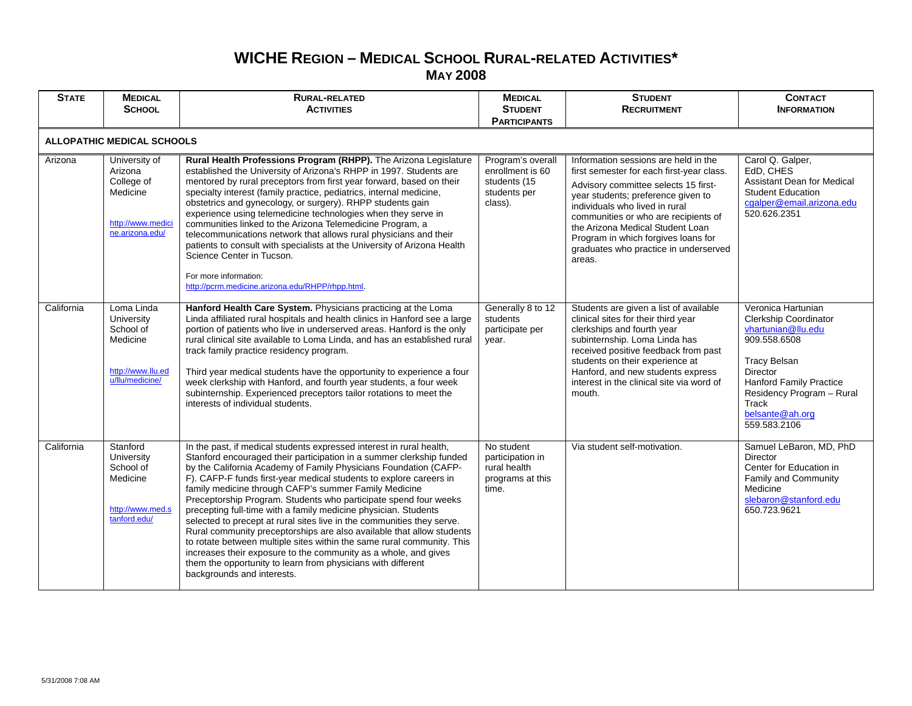## **WICHE REGION – MEDICAL SCHOOL RURAL-RELATED ACTIVITIES\* MAY 2008**

| <b>STATE</b>                      | <b>MEDICAL</b><br><b>SCHOOL</b>                                                            | <b>RURAL-RELATED</b><br><b>ACTIVITIES</b>                                                                                                                                                                                                                                                                                                                                                                                                                                                                                                                                                                                                                                                                                                                                                                                                                                            | <b>MEDICAL</b><br><b>STUDENT</b><br><b>PARTICIPANTS</b>                          | <b>STUDENT</b><br><b>RECRUITMENT</b>                                                                                                                                                                                                                                                                                                                                    | <b>CONTACT</b><br><b>INFORMATION</b>                                                                                                                                                                                            |  |
|-----------------------------------|--------------------------------------------------------------------------------------------|--------------------------------------------------------------------------------------------------------------------------------------------------------------------------------------------------------------------------------------------------------------------------------------------------------------------------------------------------------------------------------------------------------------------------------------------------------------------------------------------------------------------------------------------------------------------------------------------------------------------------------------------------------------------------------------------------------------------------------------------------------------------------------------------------------------------------------------------------------------------------------------|----------------------------------------------------------------------------------|-------------------------------------------------------------------------------------------------------------------------------------------------------------------------------------------------------------------------------------------------------------------------------------------------------------------------------------------------------------------------|---------------------------------------------------------------------------------------------------------------------------------------------------------------------------------------------------------------------------------|--|
| <b>ALLOPATHIC MEDICAL SCHOOLS</b> |                                                                                            |                                                                                                                                                                                                                                                                                                                                                                                                                                                                                                                                                                                                                                                                                                                                                                                                                                                                                      |                                                                                  |                                                                                                                                                                                                                                                                                                                                                                         |                                                                                                                                                                                                                                 |  |
| Arizona                           | University of<br>Arizona<br>College of<br>Medicine<br>http://www.medici<br>ne.arizona.edu/ | Rural Health Professions Program (RHPP). The Arizona Legislature<br>established the University of Arizona's RHPP in 1997. Students are<br>mentored by rural preceptors from first year forward, based on their<br>specialty interest (family practice, pediatrics, internal medicine,<br>obstetrics and gynecology, or surgery). RHPP students gain<br>experience using telemedicine technologies when they serve in<br>communities linked to the Arizona Telemedicine Program, a<br>telecommunications network that allows rural physicians and their<br>patients to consult with specialists at the University of Arizona Health<br>Science Center in Tucson.<br>For more information:<br>http://pcrm.medicine.arizona.edu/RHPP/rhpp.html.                                                                                                                                         | Program's overall<br>enrollment is 60<br>students (15<br>students per<br>class). | Information sessions are held in the<br>first semester for each first-year class.<br>Advisory committee selects 15 first-<br>year students; preference given to<br>individuals who lived in rural<br>communities or who are recipients of<br>the Arizona Medical Student Loan<br>Program in which forgives loans for<br>graduates who practice in underserved<br>areas. | Carol Q. Galper,<br>EdD, CHES<br>Assistant Dean for Medical<br><b>Student Education</b><br>cgalper@email.arizona.edu<br>520.626.2351                                                                                            |  |
| California                        | Loma Linda<br>University<br>School of<br>Medicine<br>http://www.llu.ed<br>u/llu/medicine/  | Hanford Health Care System. Physicians practicing at the Loma<br>Linda affiliated rural hospitals and health clinics in Hanford see a large<br>portion of patients who live in underserved areas. Hanford is the only<br>rural clinical site available to Loma Linda, and has an established rural<br>track family practice residency program.<br>Third year medical students have the opportunity to experience a four<br>week clerkship with Hanford, and fourth year students, a four week<br>subinternship. Experienced preceptors tailor rotations to meet the<br>interests of individual students.                                                                                                                                                                                                                                                                             | Generally 8 to 12<br>students<br>participate per<br>year.                        | Students are given a list of available<br>clinical sites for their third year<br>clerkships and fourth year<br>subinternship. Loma Linda has<br>received positive feedback from past<br>students on their experience at<br>Hanford, and new students express<br>interest in the clinical site via word of<br>mouth.                                                     | Veronica Hartunian<br>Clerkship Coordinator<br>vhartunian@llu.edu<br>909.558.6508<br><b>Tracy Belsan</b><br>Director<br><b>Hanford Family Practice</b><br>Residency Program - Rural<br>Track<br>belsante@ah.org<br>559.583.2106 |  |
| California                        | Stanford<br>University<br>School of<br>Medicine<br>http://www.med.s<br>tanford.edu/        | In the past, if medical students expressed interest in rural health,<br>Stanford encouraged their participation in a summer clerkship funded<br>by the California Academy of Family Physicians Foundation (CAFP-<br>F). CAFP-F funds first-year medical students to explore careers in<br>family medicine through CAFP's summer Family Medicine<br>Preceptorship Program. Students who participate spend four weeks<br>precepting full-time with a family medicine physician. Students<br>selected to precept at rural sites live in the communities they serve.<br>Rural community preceptorships are also available that allow students<br>to rotate between multiple sites within the same rural community. This<br>increases their exposure to the community as a whole, and gives<br>them the opportunity to learn from physicians with different<br>backgrounds and interests. | No student<br>participation in<br>rural health<br>programs at this<br>time.      | Via student self-motivation.                                                                                                                                                                                                                                                                                                                                            | Samuel LeBaron, MD, PhD<br>Director<br>Center for Education in<br>Family and Community<br>Medicine<br>slebaron@stanford.edu<br>650.723.9621                                                                                     |  |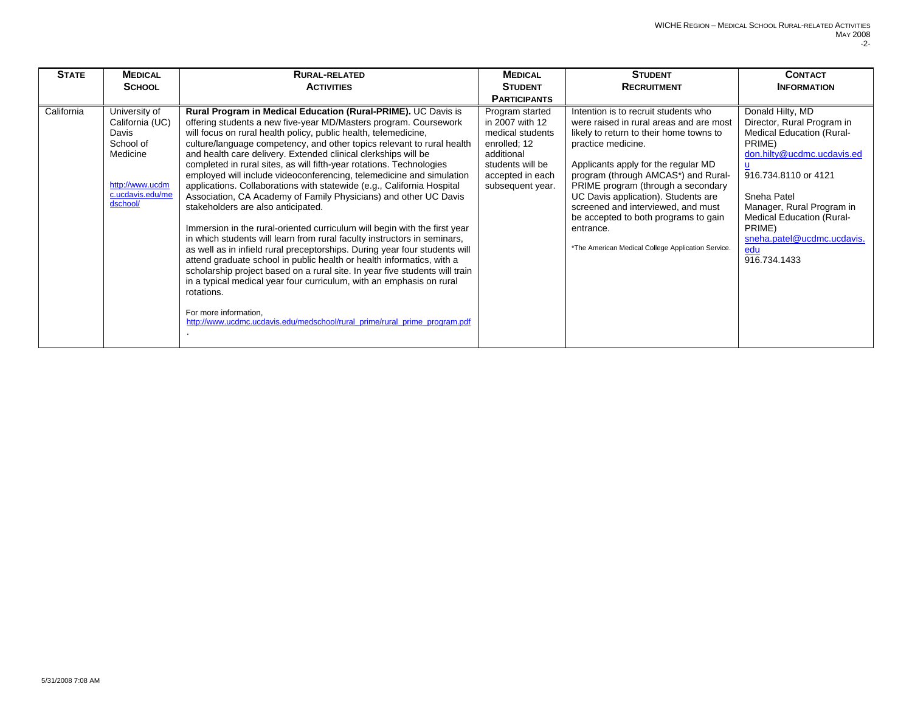| <b>STATE</b> | <b>MEDICAL</b><br><b>SCHOOL</b>                                                                                       | <b>RURAL-RELATED</b><br><b>ACTIVITIES</b>                                                                                                                                                                                                                                                                                                                                                                                                                                                                                                                                                                                                                                                                                                                                                                                                                                                                                                                                                                                                                                                                                                                                                                                                                                        | <b>MEDICAL</b><br><b>STUDENT</b><br><b>PARTICIPANTS</b>                                                                                          | <b>STUDENT</b><br><b>RECRUITMENT</b>                                                                                                                                                                                                                                                                                                                                                                                                                         | <b>CONTACT</b><br><b>INFORMATION</b>                                                                                                                                                                                                                                                                   |
|--------------|-----------------------------------------------------------------------------------------------------------------------|----------------------------------------------------------------------------------------------------------------------------------------------------------------------------------------------------------------------------------------------------------------------------------------------------------------------------------------------------------------------------------------------------------------------------------------------------------------------------------------------------------------------------------------------------------------------------------------------------------------------------------------------------------------------------------------------------------------------------------------------------------------------------------------------------------------------------------------------------------------------------------------------------------------------------------------------------------------------------------------------------------------------------------------------------------------------------------------------------------------------------------------------------------------------------------------------------------------------------------------------------------------------------------|--------------------------------------------------------------------------------------------------------------------------------------------------|--------------------------------------------------------------------------------------------------------------------------------------------------------------------------------------------------------------------------------------------------------------------------------------------------------------------------------------------------------------------------------------------------------------------------------------------------------------|--------------------------------------------------------------------------------------------------------------------------------------------------------------------------------------------------------------------------------------------------------------------------------------------------------|
| California   | University of<br>California (UC)<br>Davis<br>School of<br>Medicine<br>http://www.ucdm<br>c.ucdavis.edu/me<br>dschool/ | Rural Program in Medical Education (Rural-PRIME). UC Davis is<br>offering students a new five-year MD/Masters program. Coursework<br>will focus on rural health policy, public health, telemedicine,<br>culture/language competency, and other topics relevant to rural health<br>and health care delivery. Extended clinical clerkships will be<br>completed in rural sites, as will fifth-year rotations. Technologies<br>employed will include videoconferencing, telemedicine and simulation<br>applications. Collaborations with statewide (e.g., California Hospital<br>Association, CA Academy of Family Physicians) and other UC Davis<br>stakeholders are also anticipated.<br>Immersion in the rural-oriented curriculum will begin with the first year<br>in which students will learn from rural faculty instructors in seminars,<br>as well as in infield rural preceptorships. During year four students will<br>attend graduate school in public health or health informatics, with a<br>scholarship project based on a rural site. In year five students will train<br>in a typical medical year four curriculum, with an emphasis on rural<br>rotations.<br>For more information,<br>http://www.ucdmc.ucdavis.edu/medschool/rural_prime/rural_prime_program.pdf | Program started<br>in 2007 with 12<br>medical students<br>enrolled; 12<br>additional<br>students will be<br>accepted in each<br>subsequent year. | Intention is to recruit students who<br>were raised in rural areas and are most<br>likely to return to their home towns to<br>practice medicine.<br>Applicants apply for the regular MD<br>program (through AMCAS*) and Rural-<br>PRIME program (through a secondary<br>UC Davis application). Students are<br>screened and interviewed, and must<br>be accepted to both programs to gain<br>entrance.<br>*The American Medical College Application Service. | Donald Hilty, MD<br>Director, Rural Program in<br><b>Medical Education (Rural-</b><br>PRIME)<br>don.hilty@ucdmc.ucdavis.ed<br>u<br>916.734.8110 or 4121<br>Sneha Patel<br>Manager, Rural Program in<br><b>Medical Education (Rural-</b><br>PRIME)<br>sneha.patel@ucdmc.ucdavis.<br>edu<br>916.734.1433 |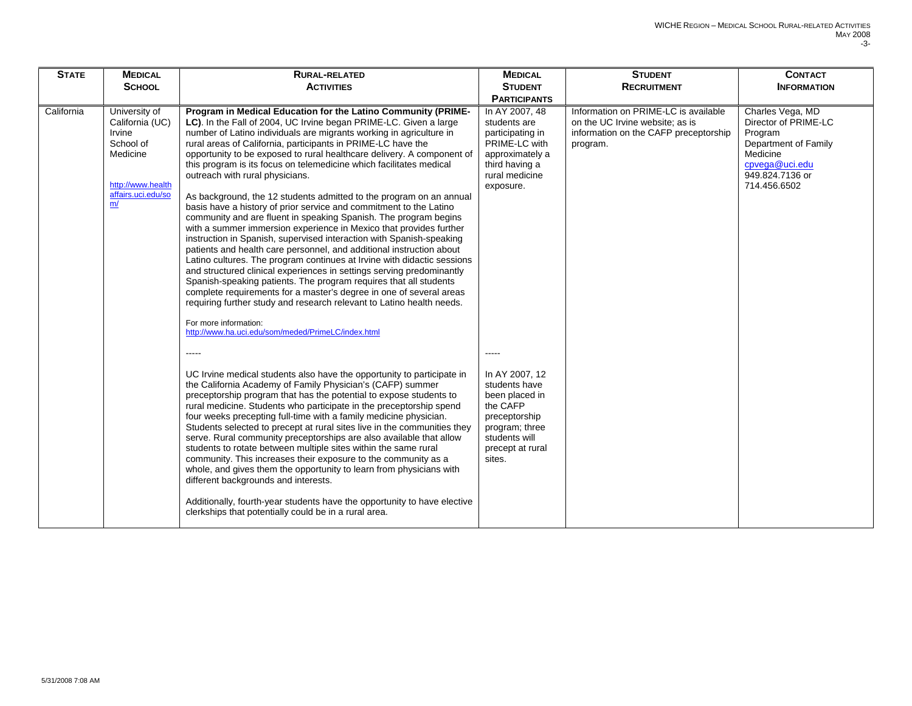| <b>STATE</b> | <b>MEDICAL</b>                                                                                                       | <b>RURAL-RELATED</b>                                                                                                                                                                                                                                                                                                                                                                                                                                                                                                                                                                                                                                                                                                                                                                                                                                                                                                                                                                                                                                                                                                                                                                                                                                                                                                                                                                                                                                                                                                                                                                                                                                                                                                                                                                                                                                                                                                                                                                                                                                                                                                                         | <b>MEDICAL</b>                                                                                                                                                                                                                                                                             | <b>STUDENT</b>                                                                                                               | <b>CONTACT</b>                                                                                                                               |
|--------------|----------------------------------------------------------------------------------------------------------------------|----------------------------------------------------------------------------------------------------------------------------------------------------------------------------------------------------------------------------------------------------------------------------------------------------------------------------------------------------------------------------------------------------------------------------------------------------------------------------------------------------------------------------------------------------------------------------------------------------------------------------------------------------------------------------------------------------------------------------------------------------------------------------------------------------------------------------------------------------------------------------------------------------------------------------------------------------------------------------------------------------------------------------------------------------------------------------------------------------------------------------------------------------------------------------------------------------------------------------------------------------------------------------------------------------------------------------------------------------------------------------------------------------------------------------------------------------------------------------------------------------------------------------------------------------------------------------------------------------------------------------------------------------------------------------------------------------------------------------------------------------------------------------------------------------------------------------------------------------------------------------------------------------------------------------------------------------------------------------------------------------------------------------------------------------------------------------------------------------------------------------------------------|--------------------------------------------------------------------------------------------------------------------------------------------------------------------------------------------------------------------------------------------------------------------------------------------|------------------------------------------------------------------------------------------------------------------------------|----------------------------------------------------------------------------------------------------------------------------------------------|
|              | <b>SCHOOL</b>                                                                                                        | <b>ACTIVITIES</b>                                                                                                                                                                                                                                                                                                                                                                                                                                                                                                                                                                                                                                                                                                                                                                                                                                                                                                                                                                                                                                                                                                                                                                                                                                                                                                                                                                                                                                                                                                                                                                                                                                                                                                                                                                                                                                                                                                                                                                                                                                                                                                                            | <b>STUDENT</b>                                                                                                                                                                                                                                                                             | <b>RECRUITMENT</b>                                                                                                           | <b>INFORMATION</b>                                                                                                                           |
|              |                                                                                                                      |                                                                                                                                                                                                                                                                                                                                                                                                                                                                                                                                                                                                                                                                                                                                                                                                                                                                                                                                                                                                                                                                                                                                                                                                                                                                                                                                                                                                                                                                                                                                                                                                                                                                                                                                                                                                                                                                                                                                                                                                                                                                                                                                              | <b>PARTICIPANTS</b>                                                                                                                                                                                                                                                                        |                                                                                                                              |                                                                                                                                              |
| California   | University of<br>California (UC)<br>Irvine<br>School of<br>Medicine<br>http://www.health<br>affairs.uci.edu/so<br>m/ | Program in Medical Education for the Latino Community (PRIME-<br>LC). In the Fall of 2004, UC Irvine began PRIME-LC. Given a large<br>number of Latino individuals are migrants working in agriculture in<br>rural areas of California, participants in PRIME-LC have the<br>opportunity to be exposed to rural healthcare delivery. A component of<br>this program is its focus on telemedicine which facilitates medical<br>outreach with rural physicians.<br>As background, the 12 students admitted to the program on an annual<br>basis have a history of prior service and commitment to the Latino<br>community and are fluent in speaking Spanish. The program begins<br>with a summer immersion experience in Mexico that provides further<br>instruction in Spanish, supervised interaction with Spanish-speaking<br>patients and health care personnel, and additional instruction about<br>Latino cultures. The program continues at Irvine with didactic sessions<br>and structured clinical experiences in settings serving predominantly<br>Spanish-speaking patients. The program requires that all students<br>complete requirements for a master's degree in one of several areas<br>requiring further study and research relevant to Latino health needs.<br>For more information:<br>http://www.ha.uci.edu/som/meded/PrimeLC/index.html<br>$- - - - -$<br>UC Irvine medical students also have the opportunity to participate in<br>the California Academy of Family Physician's (CAFP) summer<br>preceptorship program that has the potential to expose students to<br>rural medicine. Students who participate in the preceptorship spend<br>four weeks precepting full-time with a family medicine physician.<br>Students selected to precept at rural sites live in the communities they<br>serve. Rural community preceptorships are also available that allow<br>students to rotate between multiple sites within the same rural<br>community. This increases their exposure to the community as a<br>whole, and gives them the opportunity to learn from physicians with<br>different backgrounds and interests. | In AY 2007, 48<br>students are<br>participating in<br>PRIME-LC with<br>approximately a<br>third having a<br>rural medicine<br>exposure.<br>In AY 2007, 12<br>students have<br>been placed in<br>the CAFP<br>preceptorship<br>program; three<br>students will<br>precept at rural<br>sites. | Information on PRIME-LC is available<br>on the UC Irvine website; as is<br>information on the CAFP preceptorship<br>program. | Charles Vega, MD<br>Director of PRIME-LC<br>Program<br>Department of Family<br>Medicine<br>cpvega@uci.edu<br>949.824.7136 or<br>714.456.6502 |
|              |                                                                                                                      | Additionally, fourth-year students have the opportunity to have elective<br>clerkships that potentially could be in a rural area.                                                                                                                                                                                                                                                                                                                                                                                                                                                                                                                                                                                                                                                                                                                                                                                                                                                                                                                                                                                                                                                                                                                                                                                                                                                                                                                                                                                                                                                                                                                                                                                                                                                                                                                                                                                                                                                                                                                                                                                                            |                                                                                                                                                                                                                                                                                            |                                                                                                                              |                                                                                                                                              |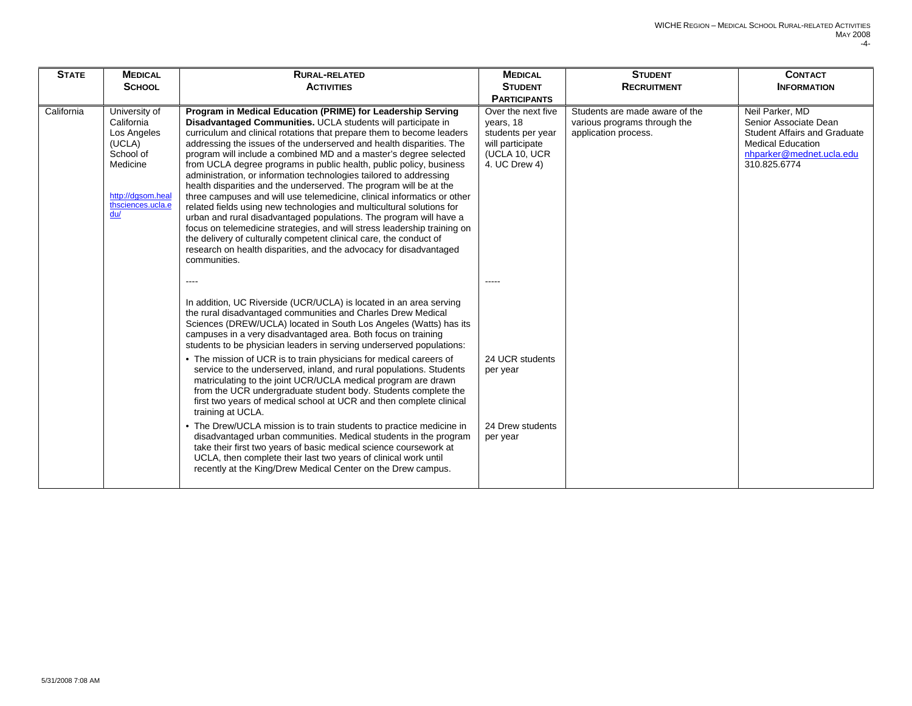| <b>STATE</b> | <b>MEDICAL</b><br><b>SCHOOL</b>                                                                                                | <b>RURAL-RELATED</b><br><b>ACTIVITIES</b>                                                                                                                                                                                                                                                                                                                                                                                                                                                                                                                                                                                                                                                                                                                                                                                                                                                                                                                                                                                                                                        | <b>MEDICAL</b><br><b>STUDENT</b>                                                                                                  | <b>STUDENT</b><br><b>RECRUITMENT</b>                                                   | <b>CONTACT</b><br><b>INFORMATION</b>                                                                                                                    |
|--------------|--------------------------------------------------------------------------------------------------------------------------------|----------------------------------------------------------------------------------------------------------------------------------------------------------------------------------------------------------------------------------------------------------------------------------------------------------------------------------------------------------------------------------------------------------------------------------------------------------------------------------------------------------------------------------------------------------------------------------------------------------------------------------------------------------------------------------------------------------------------------------------------------------------------------------------------------------------------------------------------------------------------------------------------------------------------------------------------------------------------------------------------------------------------------------------------------------------------------------|-----------------------------------------------------------------------------------------------------------------------------------|----------------------------------------------------------------------------------------|---------------------------------------------------------------------------------------------------------------------------------------------------------|
| California   | University of<br>California<br>Los Angeles<br>(UCLA)<br>School of<br>Medicine<br>http://dqsom.heal<br>thsciences.ucla.e<br>du/ | Program in Medical Education (PRIME) for Leadership Serving<br>Disadvantaged Communities. UCLA students will participate in<br>curriculum and clinical rotations that prepare them to become leaders<br>addressing the issues of the underserved and health disparities. The<br>program will include a combined MD and a master's degree selected<br>from UCLA degree programs in public health, public policy, business<br>administration, or information technologies tailored to addressing<br>health disparities and the underserved. The program will be at the<br>three campuses and will use telemedicine, clinical informatics or other<br>related fields using new technologies and multicultural solutions for<br>urban and rural disadvantaged populations. The program will have a<br>focus on telemedicine strategies, and will stress leadership training on<br>the delivery of culturally competent clinical care, the conduct of<br>research on health disparities, and the advocacy for disadvantaged<br>communities.                                           | <b>PARTICIPANTS</b><br>Over the next five<br>years, 18<br>students per year<br>will participate<br>(UCLA 10, UCR<br>4. UC Drew 4) | Students are made aware of the<br>various programs through the<br>application process. | Neil Parker, MD<br>Senior Associate Dean<br><b>Student Affairs and Graduate</b><br><b>Medical Education</b><br>nhparker@mednet.ucla.edu<br>310.825.6774 |
|              |                                                                                                                                | In addition, UC Riverside (UCR/UCLA) is located in an area serving<br>the rural disadvantaged communities and Charles Drew Medical<br>Sciences (DREW/UCLA) located in South Los Angeles (Watts) has its<br>campuses in a very disadvantaged area. Both focus on training<br>students to be physician leaders in serving underserved populations:<br>• The mission of UCR is to train physicians for medical careers of<br>service to the underserved, inland, and rural populations. Students<br>matriculating to the joint UCR/UCLA medical program are drawn<br>from the UCR undergraduate student body. Students complete the<br>first two years of medical school at UCR and then complete clinical<br>training at UCLA.<br>• The Drew/UCLA mission is to train students to practice medicine in<br>disadvantaged urban communities. Medical students in the program<br>take their first two years of basic medical science coursework at<br>UCLA, then complete their last two years of clinical work until<br>recently at the King/Drew Medical Center on the Drew campus. | 24 UCR students<br>per year<br>24 Drew students<br>per year                                                                       |                                                                                        |                                                                                                                                                         |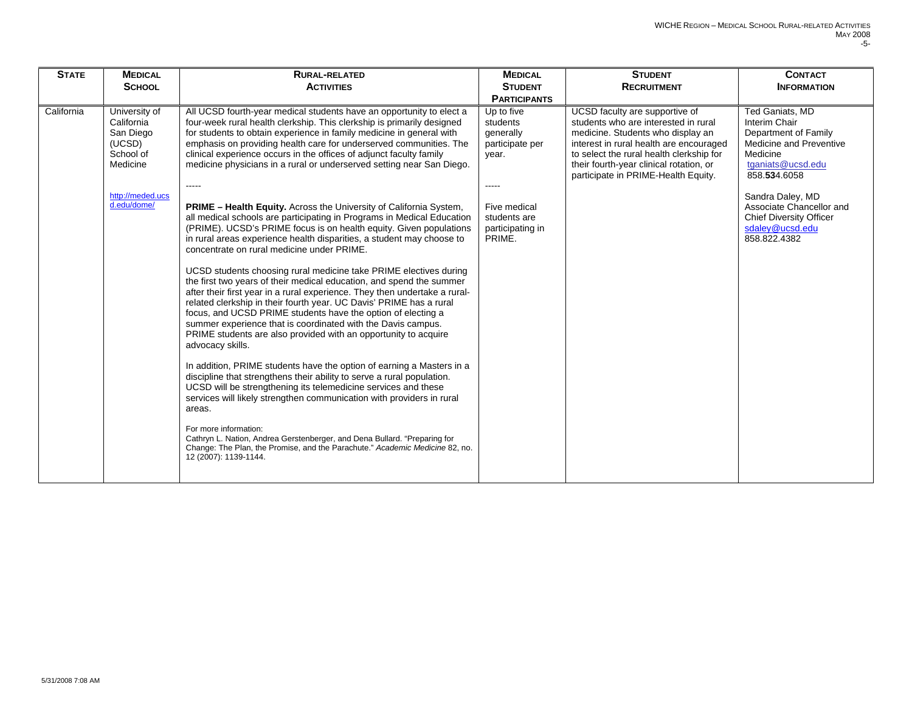| <b>STATE</b> | <b>MEDICAL</b>                                                                                                 | <b>RURAL-RELATED</b>                                                                                                                                                                                                                                                                                                                                                                                                                                                                                                                                                                                                                                                                                                                                                                                                                                                                                                                                                                                                                                                                                                                                                                                                                                                                                                                                                                                                                                                                                                                                                                                                                                                                                                                                                                                                                                      | <b>MEDICAL</b>                                                                                                                           | <b>STUDENT</b>                                                                                                                                                                                                                                                                       | <b>CONTACT</b>                                                                                                                                                                                                                                            |
|--------------|----------------------------------------------------------------------------------------------------------------|-----------------------------------------------------------------------------------------------------------------------------------------------------------------------------------------------------------------------------------------------------------------------------------------------------------------------------------------------------------------------------------------------------------------------------------------------------------------------------------------------------------------------------------------------------------------------------------------------------------------------------------------------------------------------------------------------------------------------------------------------------------------------------------------------------------------------------------------------------------------------------------------------------------------------------------------------------------------------------------------------------------------------------------------------------------------------------------------------------------------------------------------------------------------------------------------------------------------------------------------------------------------------------------------------------------------------------------------------------------------------------------------------------------------------------------------------------------------------------------------------------------------------------------------------------------------------------------------------------------------------------------------------------------------------------------------------------------------------------------------------------------------------------------------------------------------------------------------------------------|------------------------------------------------------------------------------------------------------------------------------------------|--------------------------------------------------------------------------------------------------------------------------------------------------------------------------------------------------------------------------------------------------------------------------------------|-----------------------------------------------------------------------------------------------------------------------------------------------------------------------------------------------------------------------------------------------------------|
|              | <b>SCHOOL</b>                                                                                                  | <b>ACTIVITIES</b>                                                                                                                                                                                                                                                                                                                                                                                                                                                                                                                                                                                                                                                                                                                                                                                                                                                                                                                                                                                                                                                                                                                                                                                                                                                                                                                                                                                                                                                                                                                                                                                                                                                                                                                                                                                                                                         | <b>STUDENT</b><br><b>PARTICIPANTS</b>                                                                                                    | <b>RECRUITMENT</b>                                                                                                                                                                                                                                                                   | <b>INFORMATION</b>                                                                                                                                                                                                                                        |
| California   | University of<br>California<br>San Diego<br>(UCSD)<br>School of<br>Medicine<br>http://meded.ucs<br>d.edu/dome/ | All UCSD fourth-year medical students have an opportunity to elect a<br>four-week rural health clerkship. This clerkship is primarily designed<br>for students to obtain experience in family medicine in general with<br>emphasis on providing health care for underserved communities. The<br>clinical experience occurs in the offices of adjunct faculty family<br>medicine physicians in a rural or underserved setting near San Diego.<br>$---$<br><b>PRIME – Health Equity.</b> Across the University of California System,<br>all medical schools are participating in Programs in Medical Education<br>(PRIME). UCSD's PRIME focus is on health equity. Given populations<br>in rural areas experience health disparities, a student may choose to<br>concentrate on rural medicine under PRIME.<br>UCSD students choosing rural medicine take PRIME electives during<br>the first two years of their medical education, and spend the summer<br>after their first year in a rural experience. They then undertake a rural-<br>related clerkship in their fourth year. UC Davis' PRIME has a rural<br>focus, and UCSD PRIME students have the option of electing a<br>summer experience that is coordinated with the Davis campus.<br>PRIME students are also provided with an opportunity to acquire<br>advocacy skills.<br>In addition, PRIME students have the option of earning a Masters in a<br>discipline that strengthens their ability to serve a rural population.<br>UCSD will be strengthening its telemedicine services and these<br>services will likely strengthen communication with providers in rural<br>areas.<br>For more information:<br>Cathryn L. Nation, Andrea Gerstenberger, and Dena Bullard. "Preparing for<br>Change: The Plan, the Promise, and the Parachute." Academic Medicine 82, no.<br>12 (2007): 1139-1144. | Up to five<br>students<br>generally<br>participate per<br>year.<br>$--- -$<br>Five medical<br>students are<br>participating in<br>PRIME. | UCSD faculty are supportive of<br>students who are interested in rural<br>medicine. Students who display an<br>interest in rural health are encouraged<br>to select the rural health clerkship for<br>their fourth-year clinical rotation, or<br>participate in PRIME-Health Equity. | Ted Ganiats, MD<br>Interim Chair<br>Department of Family<br>Medicine and Preventive<br>Medicine<br>tganiats@ucsd.edu<br>858.534.6058<br>Sandra Daley, MD<br>Associate Chancellor and<br><b>Chief Diversity Officer</b><br>sdaley@ucsd.edu<br>858.822.4382 |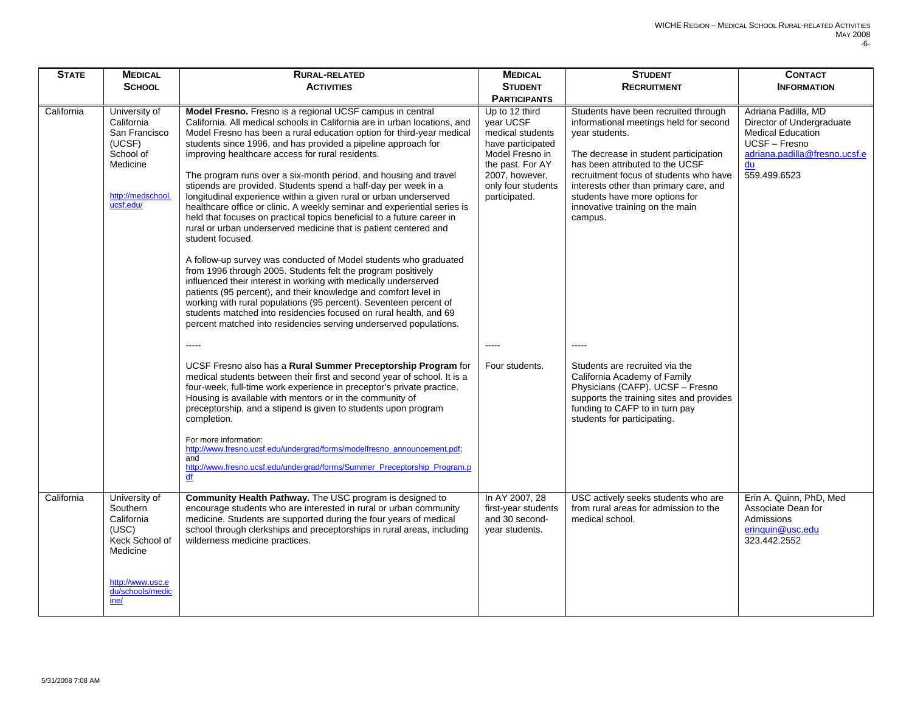| <b>STATE</b> | <b>MEDICAL</b>                                                                                                                 | <b>RURAL-RELATED</b>                                                                                                                                                                                                                                                                                                                                                                                                                                                                                                                                                                                                                                                                                                                                                                                                                                                                                                                                                                                                                                                                                                                                                                                                                                                                   | <b>MEDICAL</b>                                                                                                                                                       | <b>STUDENT</b>                                                                                                                                                                                                                                                                                                                                   | <b>CONTACT</b>                                                                                                                                       |
|--------------|--------------------------------------------------------------------------------------------------------------------------------|----------------------------------------------------------------------------------------------------------------------------------------------------------------------------------------------------------------------------------------------------------------------------------------------------------------------------------------------------------------------------------------------------------------------------------------------------------------------------------------------------------------------------------------------------------------------------------------------------------------------------------------------------------------------------------------------------------------------------------------------------------------------------------------------------------------------------------------------------------------------------------------------------------------------------------------------------------------------------------------------------------------------------------------------------------------------------------------------------------------------------------------------------------------------------------------------------------------------------------------------------------------------------------------|----------------------------------------------------------------------------------------------------------------------------------------------------------------------|--------------------------------------------------------------------------------------------------------------------------------------------------------------------------------------------------------------------------------------------------------------------------------------------------------------------------------------------------|------------------------------------------------------------------------------------------------------------------------------------------------------|
|              | <b>SCHOOL</b>                                                                                                                  | <b>ACTIVITIES</b>                                                                                                                                                                                                                                                                                                                                                                                                                                                                                                                                                                                                                                                                                                                                                                                                                                                                                                                                                                                                                                                                                                                                                                                                                                                                      | <b>STUDENT</b>                                                                                                                                                       | <b>RECRUITMENT</b>                                                                                                                                                                                                                                                                                                                               | <b>INFORMATION</b>                                                                                                                                   |
|              |                                                                                                                                |                                                                                                                                                                                                                                                                                                                                                                                                                                                                                                                                                                                                                                                                                                                                                                                                                                                                                                                                                                                                                                                                                                                                                                                                                                                                                        | <b>PARTICIPANTS</b>                                                                                                                                                  |                                                                                                                                                                                                                                                                                                                                                  |                                                                                                                                                      |
| California   | University of<br>California<br>San Francisco<br>(UCSF)<br>School of<br>Medicine<br>http://medschool.<br>ucsf.edu/              | Model Fresno. Fresno is a regional UCSF campus in central<br>California. All medical schools in California are in urban locations, and<br>Model Fresno has been a rural education option for third-year medical<br>students since 1996, and has provided a pipeline approach for<br>improving healthcare access for rural residents.<br>The program runs over a six-month period, and housing and travel<br>stipends are provided. Students spend a half-day per week in a<br>longitudinal experience within a given rural or urban underserved<br>healthcare office or clinic. A weekly seminar and experiential series is<br>held that focuses on practical topics beneficial to a future career in<br>rural or urban underserved medicine that is patient centered and<br>student focused.<br>A follow-up survey was conducted of Model students who graduated<br>from 1996 through 2005. Students felt the program positively<br>influenced their interest in working with medically underserved<br>patients (95 percent), and their knowledge and comfort level in<br>working with rural populations (95 percent). Seventeen percent of<br>students matched into residencies focused on rural health, and 69<br>percent matched into residencies serving underserved populations. | Up to 12 third<br>year UCSF<br>medical students<br>have participated<br>Model Fresno in<br>the past. For AY<br>2007, however,<br>only four students<br>participated. | Students have been recruited through<br>informational meetings held for second<br>year students.<br>The decrease in student participation<br>has been attributed to the UCSF<br>recruitment focus of students who have<br>interests other than primary care, and<br>students have more options for<br>innovative training on the main<br>campus. | Adriana Padilla, MD<br>Director of Undergraduate<br><b>Medical Education</b><br>UCSF - Fresno<br>adriana.padilla@fresno.ucsf.e<br>du<br>559.499.6523 |
|              |                                                                                                                                | -----                                                                                                                                                                                                                                                                                                                                                                                                                                                                                                                                                                                                                                                                                                                                                                                                                                                                                                                                                                                                                                                                                                                                                                                                                                                                                  | -----                                                                                                                                                                | -----                                                                                                                                                                                                                                                                                                                                            |                                                                                                                                                      |
|              |                                                                                                                                | UCSF Fresno also has a Rural Summer Preceptorship Program for<br>medical students between their first and second year of school. It is a<br>four-week, full-time work experience in preceptor's private practice.<br>Housing is available with mentors or in the community of<br>preceptorship, and a stipend is given to students upon program<br>completion.<br>For more information:<br>http://www.fresno.ucsf.edu/undergrad/forms/modelfresno_announcement.pdf;<br>and<br>http://www.fresno.ucsf.edu/undergrad/forms/Summer Preceptorship Program.p                                                                                                                                                                                                                                                                                                                                                                                                                                                                                                                                                                                                                                                                                                                                | Four students.                                                                                                                                                       | Students are recruited via the<br>California Academy of Family<br>Physicians (CAFP). UCSF - Fresno<br>supports the training sites and provides<br>funding to CAFP to in turn pay<br>students for participating.                                                                                                                                  |                                                                                                                                                      |
|              |                                                                                                                                | df                                                                                                                                                                                                                                                                                                                                                                                                                                                                                                                                                                                                                                                                                                                                                                                                                                                                                                                                                                                                                                                                                                                                                                                                                                                                                     |                                                                                                                                                                      |                                                                                                                                                                                                                                                                                                                                                  |                                                                                                                                                      |
| California   | University of<br>Southern<br>California<br>(USC)<br>Keck School of<br>Medicine<br>http://www.usc.e<br>du/schools/medic<br>ine/ | Community Health Pathway. The USC program is designed to<br>encourage students who are interested in rural or urban community<br>medicine. Students are supported during the four years of medical<br>school through clerkships and preceptorships in rural areas, including<br>wilderness medicine practices.                                                                                                                                                                                                                                                                                                                                                                                                                                                                                                                                                                                                                                                                                                                                                                                                                                                                                                                                                                         | In AY 2007, 28<br>first-year students<br>and 30 second-<br>year students.                                                                                            | USC actively seeks students who are<br>from rural areas for admission to the<br>medical school.                                                                                                                                                                                                                                                  | Erin A. Quinn, PhD, Med<br>Associate Dean for<br><b>Admissions</b><br>eringuin@usc.edu<br>323.442.2552                                               |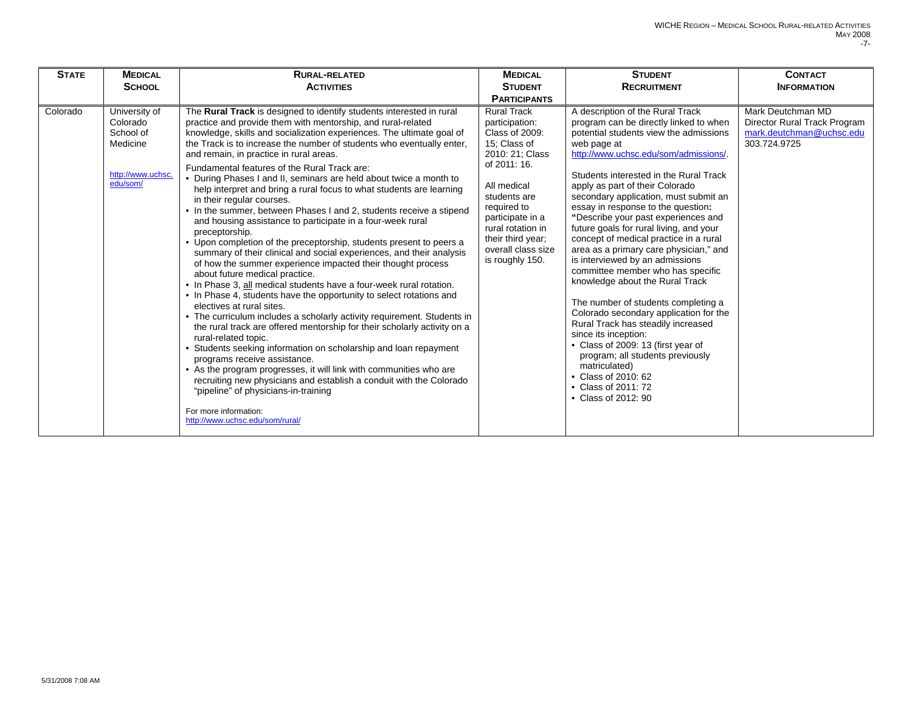| <b>STATE</b> | <b>MEDICAL</b><br><b>SCHOOL</b>                                                     | <b>RURAL-RELATED</b><br><b>ACTIVITIES</b>                                                                                                                                                                                                                                                                                                                                                                                                                                                                                                                                                                                                                                                                                                                                                                                                                                                                                                                                                                                                                                                                                                                                                                                                                                                                                                                                                                                                                                                                                                                                                                                                                                          | <b>MEDICAL</b><br><b>STUDENT</b><br><b>PARTICIPANTS</b>                                                                                                                                                                                                        | <b>STUDENT</b><br><b>RECRUITMENT</b>                                                                                                                                                                                                                                                                                                                                                                                                                                                                                                                                                                                                                                                                                                                                                                                                                                                                                                     | <b>CONTACT</b><br><b>INFORMATION</b>                                                          |
|--------------|-------------------------------------------------------------------------------------|------------------------------------------------------------------------------------------------------------------------------------------------------------------------------------------------------------------------------------------------------------------------------------------------------------------------------------------------------------------------------------------------------------------------------------------------------------------------------------------------------------------------------------------------------------------------------------------------------------------------------------------------------------------------------------------------------------------------------------------------------------------------------------------------------------------------------------------------------------------------------------------------------------------------------------------------------------------------------------------------------------------------------------------------------------------------------------------------------------------------------------------------------------------------------------------------------------------------------------------------------------------------------------------------------------------------------------------------------------------------------------------------------------------------------------------------------------------------------------------------------------------------------------------------------------------------------------------------------------------------------------------------------------------------------------|----------------------------------------------------------------------------------------------------------------------------------------------------------------------------------------------------------------------------------------------------------------|------------------------------------------------------------------------------------------------------------------------------------------------------------------------------------------------------------------------------------------------------------------------------------------------------------------------------------------------------------------------------------------------------------------------------------------------------------------------------------------------------------------------------------------------------------------------------------------------------------------------------------------------------------------------------------------------------------------------------------------------------------------------------------------------------------------------------------------------------------------------------------------------------------------------------------------|-----------------------------------------------------------------------------------------------|
| Colorado     | University of<br>Colorado<br>School of<br>Medicine<br>http://www.uchsc.<br>edu/som/ | The Rural Track is designed to identify students interested in rural<br>practice and provide them with mentorship, and rural-related<br>knowledge, skills and socialization experiences. The ultimate goal of<br>the Track is to increase the number of students who eventually enter,<br>and remain, in practice in rural areas.<br>Fundamental features of the Rural Track are:<br>• During Phases I and II, seminars are held about twice a month to<br>help interpret and bring a rural focus to what students are learning<br>in their regular courses.<br>• In the summer, between Phases I and 2, students receive a stipend<br>and housing assistance to participate in a four-week rural<br>preceptorship.<br>• Upon completion of the preceptorship, students present to peers a<br>summary of their clinical and social experiences, and their analysis<br>of how the summer experience impacted their thought process<br>about future medical practice.<br>• In Phase 3, all medical students have a four-week rural rotation.<br>• In Phase 4, students have the opportunity to select rotations and<br>electives at rural sites.<br>• The curriculum includes a scholarly activity requirement. Students in<br>the rural track are offered mentorship for their scholarly activity on a<br>rural-related topic.<br>• Students seeking information on scholarship and loan repayment<br>programs receive assistance.<br>• As the program progresses, it will link with communities who are<br>recruiting new physicians and establish a conduit with the Colorado<br>"pipeline" of physicians-in-training<br>For more information:<br>http://www.uchsc.edu/som/rural/ | <b>Rural Track</b><br>participation:<br>Class of 2009:<br>15; Class of<br>2010: 21: Class<br>of 2011: 16.<br>All medical<br>students are<br>required to<br>participate in a<br>rural rotation in<br>their third year;<br>overall class size<br>is roughly 150. | A description of the Rural Track<br>program can be directly linked to when<br>potential students view the admissions<br>web page at<br>http://www.uchsc.edu/som/admissions/.<br>Students interested in the Rural Track<br>apply as part of their Colorado<br>secondary application, must submit an<br>essay in response to the question:<br>"Describe your past experiences and<br>future goals for rural living, and your<br>concept of medical practice in a rural<br>area as a primary care physician," and<br>is interviewed by an admissions<br>committee member who has specific<br>knowledge about the Rural Track<br>The number of students completing a<br>Colorado secondary application for the<br>Rural Track has steadily increased<br>since its inception:<br>• Class of 2009: 13 (first year of<br>program; all students previously<br>matriculated)<br>• Class of 2010: 62<br>• Class of 2011: 72<br>• Class of 2012: 90 | Mark Deutchman MD<br>Director Rural Track Program<br>mark.deutchman@uchsc.edu<br>303.724.9725 |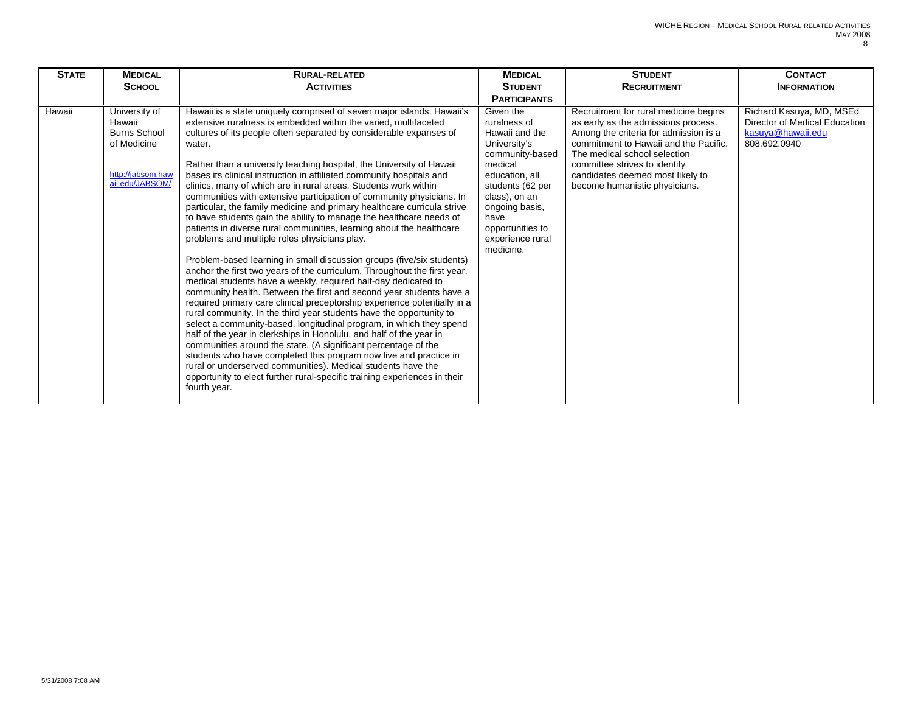| <b>STATE</b> | <b>MEDICAL</b><br><b>SCHOOL</b>                                                                       | <b>RURAL-RELATED</b><br><b>ACTIVITIES</b>                                                                                                                                                                                                                                                                                                                                                                                                                                                                                                                                                                                                                                                                                                                                                                                                                                                                                                                                                                                                                                                                                                                                                                                                                                                                                                                                                                                                                                                                                                                                                                                                                                                        | <b>MEDICAL</b><br><b>STUDENT</b><br><b>PARTICIPANTS</b>                                                                                                                                                                         | <b>STUDENT</b><br><b>RECRUITMENT</b>                                                                                                                                                                                                                                                                 | <b>CONTACT</b><br><b>INFORMATION</b>                                                           |
|--------------|-------------------------------------------------------------------------------------------------------|--------------------------------------------------------------------------------------------------------------------------------------------------------------------------------------------------------------------------------------------------------------------------------------------------------------------------------------------------------------------------------------------------------------------------------------------------------------------------------------------------------------------------------------------------------------------------------------------------------------------------------------------------------------------------------------------------------------------------------------------------------------------------------------------------------------------------------------------------------------------------------------------------------------------------------------------------------------------------------------------------------------------------------------------------------------------------------------------------------------------------------------------------------------------------------------------------------------------------------------------------------------------------------------------------------------------------------------------------------------------------------------------------------------------------------------------------------------------------------------------------------------------------------------------------------------------------------------------------------------------------------------------------------------------------------------------------|---------------------------------------------------------------------------------------------------------------------------------------------------------------------------------------------------------------------------------|------------------------------------------------------------------------------------------------------------------------------------------------------------------------------------------------------------------------------------------------------------------------------------------------------|------------------------------------------------------------------------------------------------|
| Hawaii       | University of<br>Hawaii<br><b>Burns School</b><br>of Medicine<br>http://jabsom.haw<br>aii.edu/JABSOM/ | Hawaii is a state uniquely comprised of seven major islands. Hawaii's<br>extensive ruralness is embedded within the varied, multifaceted<br>cultures of its people often separated by considerable expanses of<br>water.<br>Rather than a university teaching hospital, the University of Hawaii<br>bases its clinical instruction in affiliated community hospitals and<br>clinics, many of which are in rural areas. Students work within<br>communities with extensive participation of community physicians. In<br>particular, the family medicine and primary healthcare curricula strive<br>to have students gain the ability to manage the healthcare needs of<br>patients in diverse rural communities, learning about the healthcare<br>problems and multiple roles physicians play.<br>Problem-based learning in small discussion groups (five/six students)<br>anchor the first two years of the curriculum. Throughout the first year,<br>medical students have a weekly, required half-day dedicated to<br>community health. Between the first and second year students have a<br>required primary care clinical preceptorship experience potentially in a<br>rural community. In the third year students have the opportunity to<br>select a community-based, longitudinal program, in which they spend<br>half of the year in clerkships in Honolulu, and half of the year in<br>communities around the state. (A significant percentage of the<br>students who have completed this program now live and practice in<br>rural or underserved communities). Medical students have the<br>opportunity to elect further rural-specific training experiences in their<br>fourth year. | Given the<br>ruralness of<br>Hawaii and the<br>University's<br>community-based<br>medical<br>education, all<br>students (62 per<br>class), on an<br>ongoing basis,<br>have<br>opportunities to<br>experience rural<br>medicine. | Recruitment for rural medicine begins<br>as early as the admissions process.<br>Among the criteria for admission is a<br>commitment to Hawaii and the Pacific.<br>The medical school selection<br>committee strives to identify<br>candidates deemed most likely to<br>become humanistic physicians. | Richard Kasuya, MD, MSEd<br>Director of Medical Education<br>kasuva@hawaii.edu<br>808.692.0940 |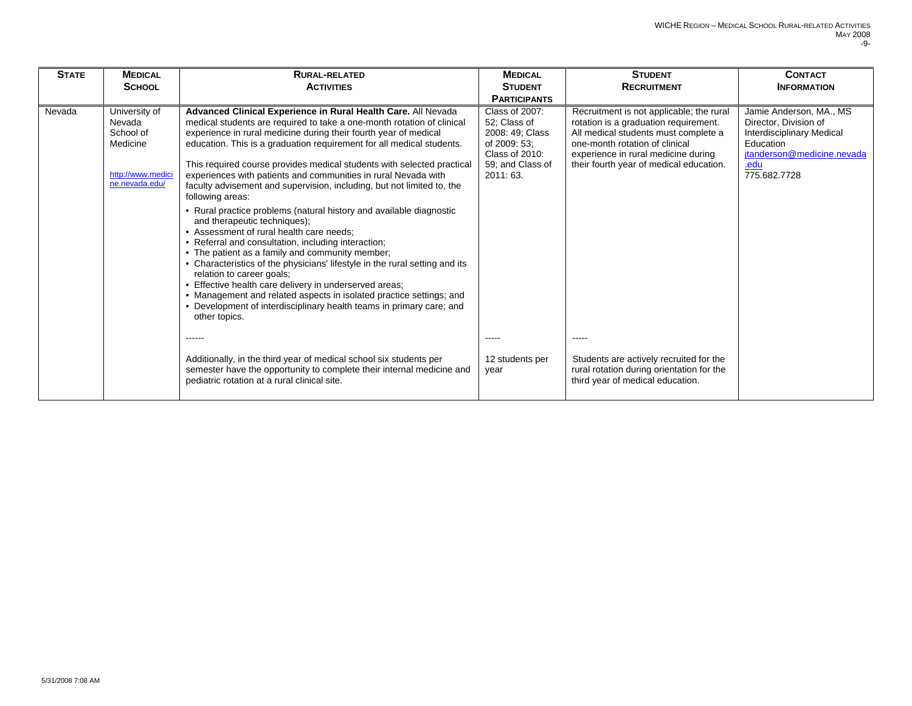| <b>STATE</b> | <b>MEDICAL</b><br><b>SCHOOL</b>                                                         | <b>RURAL-RELATED</b><br><b>ACTIVITIES</b>                                                                                                                                                                                                                                                                                                                                                                                                                                                                                                                                                                                                                                                                                                                                                                                                                                                                                                                                                                                                                                                                                         | <b>MEDICAL</b><br><b>STUDENT</b><br><b>PARTICIPANTS</b>                                                             | <b>STUDENT</b><br><b>RECRUITMENT</b>                                                                                                                                                                                                          | <b>CONTACT</b><br><b>INFORMATION</b>                                                                                                                    |
|--------------|-----------------------------------------------------------------------------------------|-----------------------------------------------------------------------------------------------------------------------------------------------------------------------------------------------------------------------------------------------------------------------------------------------------------------------------------------------------------------------------------------------------------------------------------------------------------------------------------------------------------------------------------------------------------------------------------------------------------------------------------------------------------------------------------------------------------------------------------------------------------------------------------------------------------------------------------------------------------------------------------------------------------------------------------------------------------------------------------------------------------------------------------------------------------------------------------------------------------------------------------|---------------------------------------------------------------------------------------------------------------------|-----------------------------------------------------------------------------------------------------------------------------------------------------------------------------------------------------------------------------------------------|---------------------------------------------------------------------------------------------------------------------------------------------------------|
| Nevada       | University of<br>Nevada<br>School of<br>Medicine<br>http://www.medici<br>ne.nevada.edu/ | Advanced Clinical Experience in Rural Health Care. All Nevada<br>medical students are required to take a one-month rotation of clinical<br>experience in rural medicine during their fourth year of medical<br>education. This is a graduation requirement for all medical students.<br>This required course provides medical students with selected practical<br>experiences with patients and communities in rural Nevada with<br>faculty advisement and supervision, including, but not limited to, the<br>following areas:<br>• Rural practice problems (natural history and available diagnostic<br>and therapeutic techniques);<br>• Assessment of rural health care needs;<br>• Referral and consultation, including interaction;<br>• The patient as a family and community member;<br>• Characteristics of the physicians' lifestyle in the rural setting and its<br>relation to career goals;<br>• Effective health care delivery in underserved areas;<br>• Management and related aspects in isolated practice settings; and<br>• Development of interdisciplinary health teams in primary care; and<br>other topics. | Class of 2007:<br>52: Class of<br>2008: 49; Class<br>of 2009: 53;<br>Class of 2010:<br>59: and Class of<br>2011:63. | Recruitment is not applicable; the rural<br>rotation is a graduation requirement.<br>All medical students must complete a<br>one-month rotation of clinical<br>experience in rural medicine during<br>their fourth year of medical education. | Jamie Anderson, MA., MS<br>Director, Division of<br><b>Interdisciplinary Medical</b><br>Education<br>jtanderson@medicine.nevada<br>.edu<br>775.682.7728 |
|              |                                                                                         |                                                                                                                                                                                                                                                                                                                                                                                                                                                                                                                                                                                                                                                                                                                                                                                                                                                                                                                                                                                                                                                                                                                                   |                                                                                                                     |                                                                                                                                                                                                                                               |                                                                                                                                                         |
|              |                                                                                         | Additionally, in the third year of medical school six students per<br>semester have the opportunity to complete their internal medicine and<br>pediatric rotation at a rural clinical site.                                                                                                                                                                                                                                                                                                                                                                                                                                                                                                                                                                                                                                                                                                                                                                                                                                                                                                                                       | 12 students per<br>year                                                                                             | Students are actively recruited for the<br>rural rotation during orientation for the<br>third year of medical education.                                                                                                                      |                                                                                                                                                         |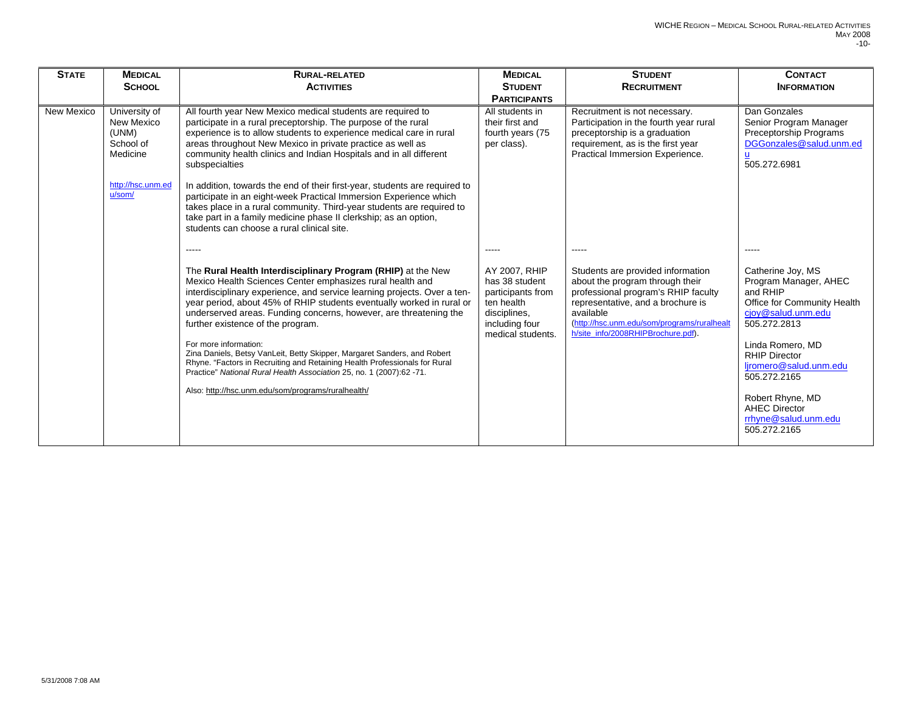| <b>STATE</b> | <b>MEDICAL</b><br><b>SCHOOL</b>                                                                     | <b>RURAL-RELATED</b><br><b>ACTIVITIES</b>                                                                                                                                                                                                                                                                                                                                                                                                                                                                                                                                                                                                                                                                 | <b>MEDICAL</b><br><b>STUDENT</b><br><b>PARTICIPANTS</b>                                                                   | <b>STUDENT</b><br><b>RECRUITMENT</b>                                                                                                                                                                                                               | <b>CONTACT</b><br><b>INFORMATION</b>                                                                                                                                                                                                                                                                                   |
|--------------|-----------------------------------------------------------------------------------------------------|-----------------------------------------------------------------------------------------------------------------------------------------------------------------------------------------------------------------------------------------------------------------------------------------------------------------------------------------------------------------------------------------------------------------------------------------------------------------------------------------------------------------------------------------------------------------------------------------------------------------------------------------------------------------------------------------------------------|---------------------------------------------------------------------------------------------------------------------------|----------------------------------------------------------------------------------------------------------------------------------------------------------------------------------------------------------------------------------------------------|------------------------------------------------------------------------------------------------------------------------------------------------------------------------------------------------------------------------------------------------------------------------------------------------------------------------|
| New Mexico   | University of<br><b>New Mexico</b><br>(UNM)<br>School of<br>Medicine<br>http://hsc.unm.ed<br>u/som/ | All fourth year New Mexico medical students are required to<br>participate in a rural preceptorship. The purpose of the rural<br>experience is to allow students to experience medical care in rural<br>areas throughout New Mexico in private practice as well as<br>community health clinics and Indian Hospitals and in all different<br>subspecialties<br>In addition, towards the end of their first-year, students are required to<br>participate in an eight-week Practical Immersion Experience which<br>takes place in a rural community. Third-year students are required to<br>take part in a family medicine phase II clerkship; as an option,<br>students can choose a rural clinical site.  | All students in<br>their first and<br>fourth years (75<br>per class).                                                     | Recruitment is not necessary.<br>Participation in the fourth year rural<br>preceptorship is a graduation<br>requirement, as is the first year<br>Practical Immersion Experience.                                                                   | Dan Gonzales<br>Senior Program Manager<br>Preceptorship Programs<br>DGGonzales@salud.unm.ed<br>505.272.6981                                                                                                                                                                                                            |
|              |                                                                                                     | The Rural Health Interdisciplinary Program (RHIP) at the New<br>Mexico Health Sciences Center emphasizes rural health and<br>interdisciplinary experience, and service learning projects. Over a ten-<br>year period, about 45% of RHIP students eventually worked in rural or<br>underserved areas. Funding concerns, however, are threatening the<br>further existence of the program.<br>For more information:<br>Zina Daniels, Betsy VanLeit, Betty Skipper, Margaret Sanders, and Robert<br>Rhyne. "Factors in Recruiting and Retaining Health Professionals for Rural<br>Practice" National Rural Health Association 25, no. 1 (2007):62 -71.<br>Also: http://hsc.unm.edu/som/programs/ruralhealth/ | AY 2007, RHIP<br>has 38 student<br>participants from<br>ten health<br>disciplines.<br>including four<br>medical students. | Students are provided information<br>about the program through their<br>professional program's RHIP faculty<br>representative, and a brochure is<br>available<br>(http://hsc.unm.edu/som/programs/ruralhealt<br>h/site_info/2008RHIPBrochure.pdf). | $\frac{1}{2}$<br>Catherine Joy, MS<br>Program Manager, AHEC<br>and RHIP<br>Office for Community Health<br>cjoy@salud.unm.edu<br>505.272.2813<br>Linda Romero, MD<br><b>RHIP Director</b><br>liromero@salud.unm.edu<br>505.272.2165<br>Robert Rhyne, MD<br><b>AHEC Director</b><br>rrhyne@salud.unm.edu<br>505.272.2165 |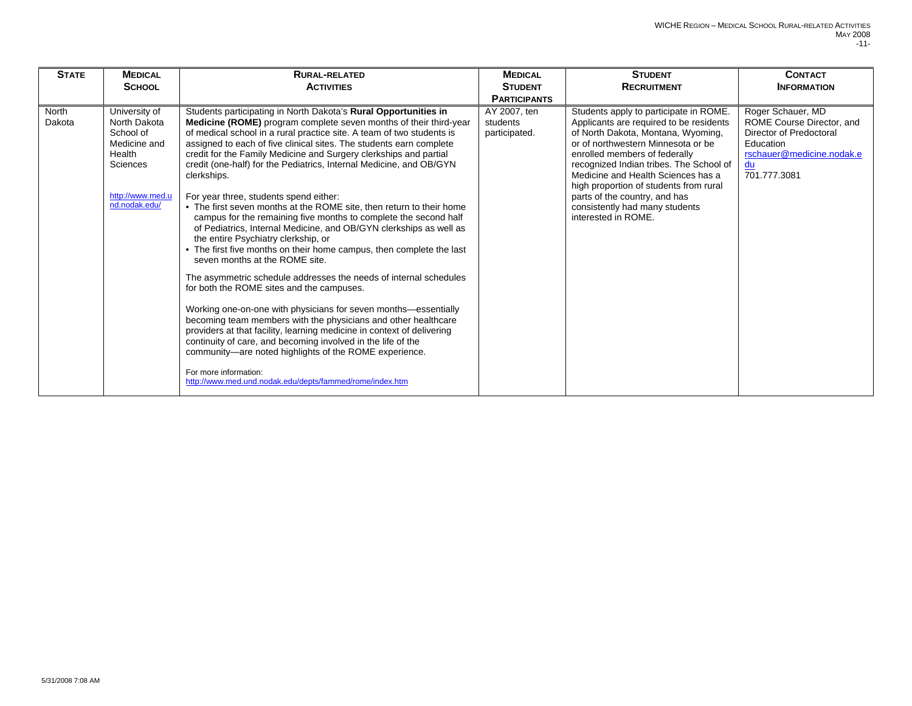| <b>STATE</b>    | <b>MEDICAL</b><br><b>SCHOOL</b>                                                                                       | <b>RURAL-RELATED</b><br><b>ACTIVITIES</b>                                                                                                                                                                                                                                                                                                                                                                                                                                                                                                                                                                                                                                                                                                                                                                                                                                                                                                                                                                                                                                                                                                                                                                                                                                                                                                                                                                    | <b>MEDICAL</b><br><b>STUDENT</b><br><b>PARTICIPANTS</b> | <b>STUDENT</b><br><b>RECRUITMENT</b>                                                                                                                                                                                                                                                                                                                                                                                | <b>CONTACT</b><br><b>INFORMATION</b>                                                                                                      |
|-----------------|-----------------------------------------------------------------------------------------------------------------------|--------------------------------------------------------------------------------------------------------------------------------------------------------------------------------------------------------------------------------------------------------------------------------------------------------------------------------------------------------------------------------------------------------------------------------------------------------------------------------------------------------------------------------------------------------------------------------------------------------------------------------------------------------------------------------------------------------------------------------------------------------------------------------------------------------------------------------------------------------------------------------------------------------------------------------------------------------------------------------------------------------------------------------------------------------------------------------------------------------------------------------------------------------------------------------------------------------------------------------------------------------------------------------------------------------------------------------------------------------------------------------------------------------------|---------------------------------------------------------|---------------------------------------------------------------------------------------------------------------------------------------------------------------------------------------------------------------------------------------------------------------------------------------------------------------------------------------------------------------------------------------------------------------------|-------------------------------------------------------------------------------------------------------------------------------------------|
| North<br>Dakota | University of<br>North Dakota<br>School of<br>Medicine and<br>Health<br>Sciences<br>http://www.med.u<br>nd.nodak.edu/ | Students participating in North Dakota's Rural Opportunities in<br>Medicine (ROME) program complete seven months of their third-year<br>of medical school in a rural practice site. A team of two students is<br>assigned to each of five clinical sites. The students earn complete<br>credit for the Family Medicine and Surgery clerkships and partial<br>credit (one-half) for the Pediatrics, Internal Medicine, and OB/GYN<br>clerkships.<br>For year three, students spend either:<br>• The first seven months at the ROME site, then return to their home<br>campus for the remaining five months to complete the second half<br>of Pediatrics, Internal Medicine, and OB/GYN clerkships as well as<br>the entire Psychiatry clerkship, or<br>• The first five months on their home campus, then complete the last<br>seven months at the ROME site.<br>The asymmetric schedule addresses the needs of internal schedules<br>for both the ROME sites and the campuses.<br>Working one-on-one with physicians for seven months-essentially<br>becoming team members with the physicians and other healthcare<br>providers at that facility, learning medicine in context of delivering<br>continuity of care, and becoming involved in the life of the<br>community-are noted highlights of the ROME experience.<br>For more information:<br>http://www.med.und.nodak.edu/depts/fammed/rome/index.htm | AY 2007, ten<br>students<br>participated.               | Students apply to participate in ROME.<br>Applicants are required to be residents<br>of North Dakota, Montana, Wyoming,<br>or of northwestern Minnesota or be<br>enrolled members of federally<br>recognized Indian tribes. The School of<br>Medicine and Health Sciences has a<br>high proportion of students from rural<br>parts of the country, and has<br>consistently had many students<br>interested in ROME. | Roger Schauer, MD<br>ROME Course Director, and<br>Director of Predoctoral<br>Education<br>rschauer@medicine.nodak.e<br>du<br>701.777.3081 |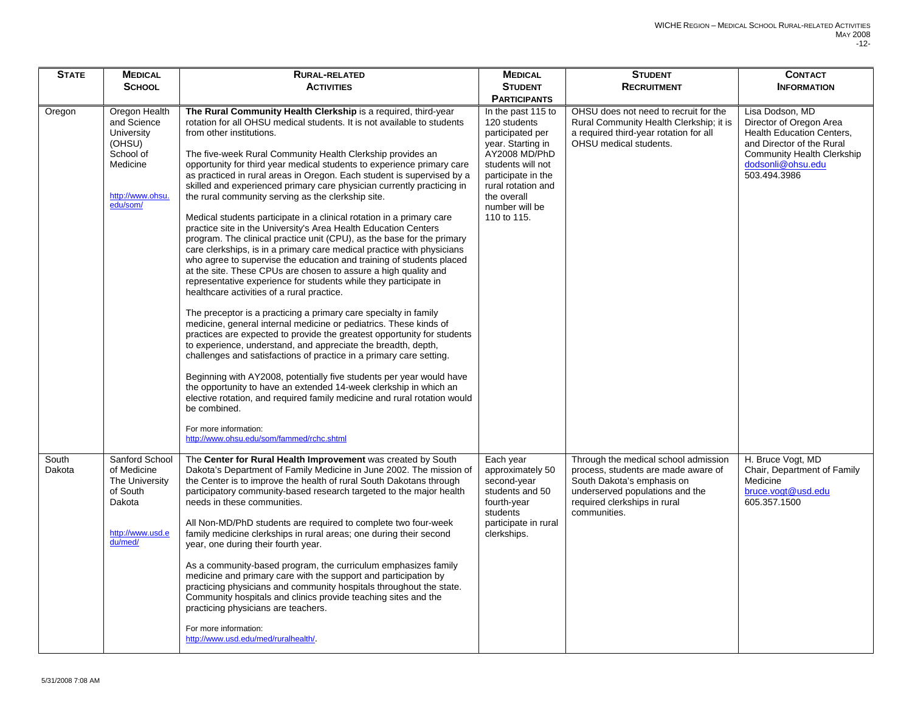| <b>STATE</b>    | <b>MEDICAL</b>                                                                                                | <b>RURAL-RELATED</b>                                                                                                                                                                                                                                                                                                                                                                                                                                                                                                                                                                                                                                                                                                                                                                                                                                                                                                                                                                                                                                                                                                                                                                                                                                                                                                                                                                                                                                                                                                                                                                                                                                                                                                                                            | <b>MEDICAL</b>                                                                                                                                                                                                | <b>STUDENT</b>                                                                                                                                                                               | <b>CONTACT</b>                                                                                                                                                                        |
|-----------------|---------------------------------------------------------------------------------------------------------------|-----------------------------------------------------------------------------------------------------------------------------------------------------------------------------------------------------------------------------------------------------------------------------------------------------------------------------------------------------------------------------------------------------------------------------------------------------------------------------------------------------------------------------------------------------------------------------------------------------------------------------------------------------------------------------------------------------------------------------------------------------------------------------------------------------------------------------------------------------------------------------------------------------------------------------------------------------------------------------------------------------------------------------------------------------------------------------------------------------------------------------------------------------------------------------------------------------------------------------------------------------------------------------------------------------------------------------------------------------------------------------------------------------------------------------------------------------------------------------------------------------------------------------------------------------------------------------------------------------------------------------------------------------------------------------------------------------------------------------------------------------------------|---------------------------------------------------------------------------------------------------------------------------------------------------------------------------------------------------------------|----------------------------------------------------------------------------------------------------------------------------------------------------------------------------------------------|---------------------------------------------------------------------------------------------------------------------------------------------------------------------------------------|
|                 | <b>SCHOOL</b>                                                                                                 | <b>ACTIVITIES</b>                                                                                                                                                                                                                                                                                                                                                                                                                                                                                                                                                                                                                                                                                                                                                                                                                                                                                                                                                                                                                                                                                                                                                                                                                                                                                                                                                                                                                                                                                                                                                                                                                                                                                                                                               | <b>STUDENT</b>                                                                                                                                                                                                | <b>RECRUITMENT</b>                                                                                                                                                                           | <b>INFORMATION</b>                                                                                                                                                                    |
|                 |                                                                                                               |                                                                                                                                                                                                                                                                                                                                                                                                                                                                                                                                                                                                                                                                                                                                                                                                                                                                                                                                                                                                                                                                                                                                                                                                                                                                                                                                                                                                                                                                                                                                                                                                                                                                                                                                                                 | <b>PARTICIPANTS</b>                                                                                                                                                                                           |                                                                                                                                                                                              |                                                                                                                                                                                       |
| Oregon          | Oregon Health<br>and Science<br>University<br>(OHSU)<br>School of<br>Medicine<br>http://www.ohsu.<br>edu/som/ | The Rural Community Health Clerkship is a required, third-year<br>rotation for all OHSU medical students. It is not available to students<br>from other institutions.<br>The five-week Rural Community Health Clerkship provides an<br>opportunity for third year medical students to experience primary care<br>as practiced in rural areas in Oregon. Each student is supervised by a<br>skilled and experienced primary care physician currently practicing in<br>the rural community serving as the clerkship site.<br>Medical students participate in a clinical rotation in a primary care<br>practice site in the University's Area Health Education Centers<br>program. The clinical practice unit (CPU), as the base for the primary<br>care clerkships, is in a primary care medical practice with physicians<br>who agree to supervise the education and training of students placed<br>at the site. These CPUs are chosen to assure a high quality and<br>representative experience for students while they participate in<br>healthcare activities of a rural practice.<br>The preceptor is a practicing a primary care specialty in family<br>medicine, general internal medicine or pediatrics. These kinds of<br>practices are expected to provide the greatest opportunity for students<br>to experience, understand, and appreciate the breadth, depth,<br>challenges and satisfactions of practice in a primary care setting.<br>Beginning with AY2008, potentially five students per year would have<br>the opportunity to have an extended 14-week clerkship in which an<br>elective rotation, and required family medicine and rural rotation would<br>be combined.<br>For more information:<br>http://www.ohsu.edu/som/fammed/rchc.shtml | In the past 115 to<br>120 students<br>participated per<br>year. Starting in<br>AY2008 MD/PhD<br>students will not<br>participate in the<br>rural rotation and<br>the overall<br>number will be<br>110 to 115. | OHSU does not need to recruit for the<br>Rural Community Health Clerkship; it is<br>a required third-year rotation for all<br>OHSU medical students.                                         | Lisa Dodson, MD<br>Director of Oregon Area<br><b>Health Education Centers,</b><br>and Director of the Rural<br><b>Community Health Clerkship</b><br>dodsonli@ohsu.edu<br>503.494.3986 |
| South<br>Dakota | Sanford School<br>of Medicine<br>The University<br>of South<br>Dakota<br>http://www.usd.e<br>du/med/          | The Center for Rural Health Improvement was created by South<br>Dakota's Department of Family Medicine in June 2002. The mission of<br>the Center is to improve the health of rural South Dakotans through<br>participatory community-based research targeted to the major health<br>needs in these communities.<br>All Non-MD/PhD students are required to complete two four-week<br>family medicine clerkships in rural areas; one during their second<br>year, one during their fourth year.<br>As a community-based program, the curriculum emphasizes family<br>medicine and primary care with the support and participation by<br>practicing physicians and community hospitals throughout the state.<br>Community hospitals and clinics provide teaching sites and the<br>practicing physicians are teachers.<br>For more information:<br>http://www.usd.edu/med/ruralhealth/.                                                                                                                                                                                                                                                                                                                                                                                                                                                                                                                                                                                                                                                                                                                                                                                                                                                                           | Each year<br>approximately 50<br>second-year<br>students and 50<br>fourth-year<br>students<br>participate in rural<br>clerkships.                                                                             | Through the medical school admission<br>process, students are made aware of<br>South Dakota's emphasis on<br>underserved populations and the<br>required clerkships in rural<br>communities. | H. Bruce Vogt, MD<br>Chair, Department of Family<br>Medicine<br>bruce.vogt@usd.edu<br>605.357.1500                                                                                    |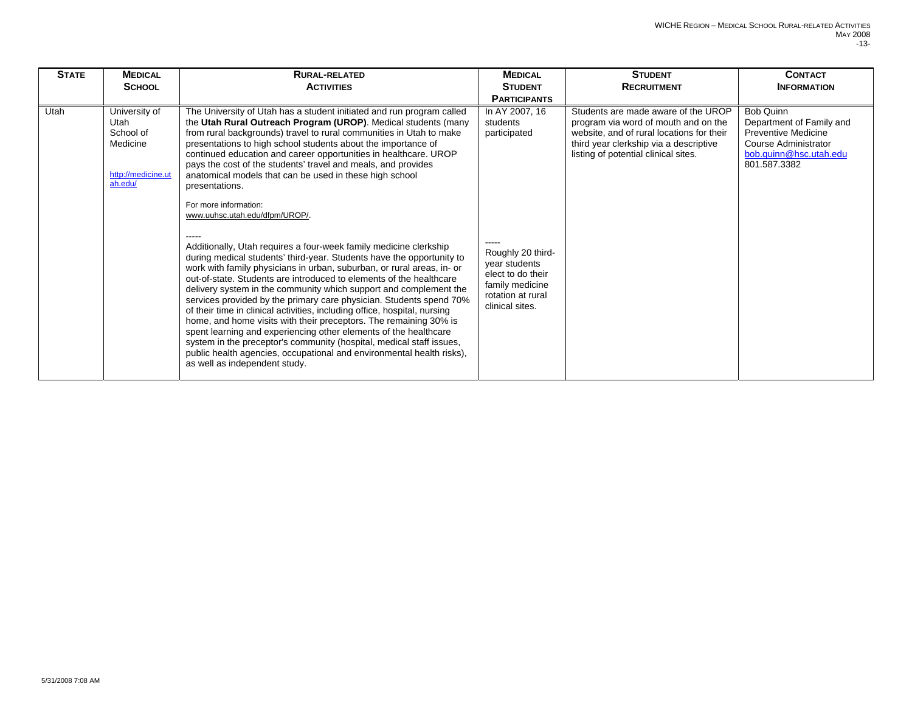| <b>STATE</b> | <b>MEDICAL</b>                                                                  | <b>RURAL-RELATED</b>                                                                                                                                                                                                                                                                                                                                                                                                                                                                                                                                                                                                                                                                                                                                                                                                                                                                                                                                                                                                                                                                                                                                                                                                                                                                                                                                                                                            | <b>MEDICAL</b>                                                                                                                                                   | <b>STUDENT</b>                                                                                                                                                                                             | <b>CONTACT</b>                                                                                                                        |
|--------------|---------------------------------------------------------------------------------|-----------------------------------------------------------------------------------------------------------------------------------------------------------------------------------------------------------------------------------------------------------------------------------------------------------------------------------------------------------------------------------------------------------------------------------------------------------------------------------------------------------------------------------------------------------------------------------------------------------------------------------------------------------------------------------------------------------------------------------------------------------------------------------------------------------------------------------------------------------------------------------------------------------------------------------------------------------------------------------------------------------------------------------------------------------------------------------------------------------------------------------------------------------------------------------------------------------------------------------------------------------------------------------------------------------------------------------------------------------------------------------------------------------------|------------------------------------------------------------------------------------------------------------------------------------------------------------------|------------------------------------------------------------------------------------------------------------------------------------------------------------------------------------------------------------|---------------------------------------------------------------------------------------------------------------------------------------|
|              | <b>SCHOOL</b>                                                                   | <b>ACTIVITIES</b>                                                                                                                                                                                                                                                                                                                                                                                                                                                                                                                                                                                                                                                                                                                                                                                                                                                                                                                                                                                                                                                                                                                                                                                                                                                                                                                                                                                               | <b>STUDENT</b>                                                                                                                                                   | <b>RECRUITMENT</b>                                                                                                                                                                                         | <b>INFORMATION</b>                                                                                                                    |
|              |                                                                                 |                                                                                                                                                                                                                                                                                                                                                                                                                                                                                                                                                                                                                                                                                                                                                                                                                                                                                                                                                                                                                                                                                                                                                                                                                                                                                                                                                                                                                 | <b>PARTICIPANTS</b>                                                                                                                                              |                                                                                                                                                                                                            |                                                                                                                                       |
| Utah         | University of<br>Utah<br>School of<br>Medicine<br>http://medicine.ut<br>ah.edu/ | The University of Utah has a student initiated and run program called<br>the Utah Rural Outreach Program (UROP). Medical students (many<br>from rural backgrounds) travel to rural communities in Utah to make<br>presentations to high school students about the importance of<br>continued education and career opportunities in healthcare. UROP<br>pays the cost of the students' travel and meals, and provides<br>anatomical models that can be used in these high school<br>presentations.<br>For more information:<br>www.uuhsc.utah.edu/dfpm/UROP/.<br>Additionally, Utah requires a four-week family medicine clerkship<br>during medical students' third-year. Students have the opportunity to<br>work with family physicians in urban, suburban, or rural areas, in- or<br>out-of-state. Students are introduced to elements of the healthcare<br>delivery system in the community which support and complement the<br>services provided by the primary care physician. Students spend 70%<br>of their time in clinical activities, including office, hospital, nursing<br>home, and home visits with their preceptors. The remaining 30% is<br>spent learning and experiencing other elements of the healthcare<br>system in the preceptor's community (hospital, medical staff issues,<br>public health agencies, occupational and environmental health risks),<br>as well as independent study. | In AY 2007, 16<br>students<br>participated<br>Roughly 20 third-<br>year students<br>elect to do their<br>family medicine<br>rotation at rural<br>clinical sites. | Students are made aware of the UROP<br>program via word of mouth and on the<br>website, and of rural locations for their<br>third year clerkship via a descriptive<br>listing of potential clinical sites. | <b>Bob Quinn</b><br>Department of Family and<br>Preventive Medicine<br>Course Administrator<br>bob.quinn@hsc.utah.edu<br>801.587.3382 |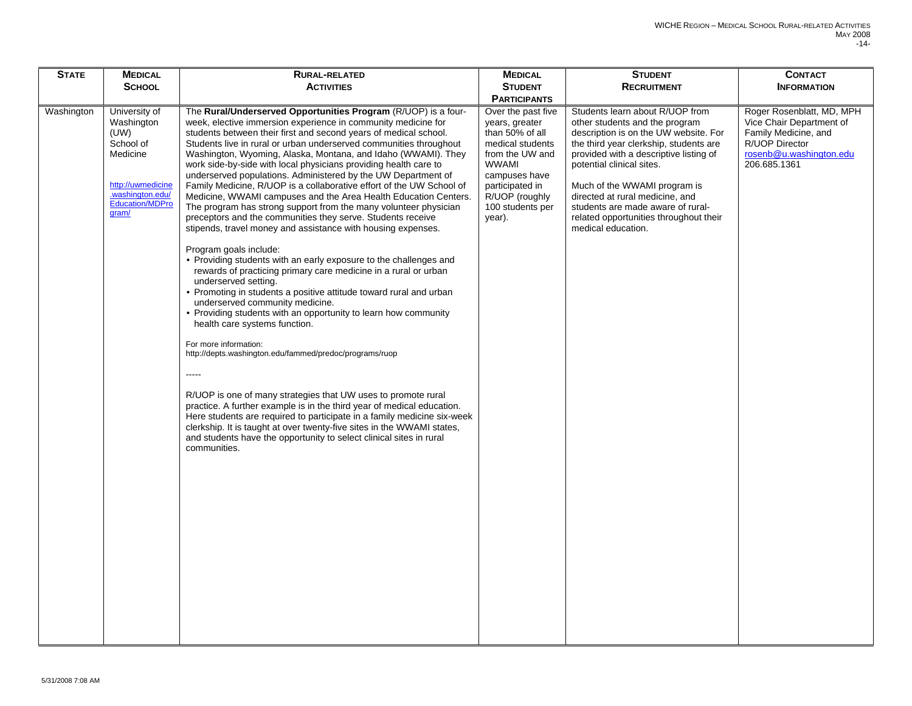| <b>STATE</b> | <b>MEDICAL</b>                                                                                                                    | RURAL-RELATED                                                                                                                                                                                                                                                                                                                                                                                                                                                                                                                                                                                                                                                                                                                                                                                                                                                                                                                                                                                                                                                                                                                                                                                                                                                                                                                                                                                                                                                                                                                                                                                                                                                                                                                   | <b>MEDICAL</b>                                                                                                                                                                                     | <b>STUDENT</b>                                                                                                                                                                                                                                                                                                                                                                                      | <b>CONTACT</b>                                                                                                                             |
|--------------|-----------------------------------------------------------------------------------------------------------------------------------|---------------------------------------------------------------------------------------------------------------------------------------------------------------------------------------------------------------------------------------------------------------------------------------------------------------------------------------------------------------------------------------------------------------------------------------------------------------------------------------------------------------------------------------------------------------------------------------------------------------------------------------------------------------------------------------------------------------------------------------------------------------------------------------------------------------------------------------------------------------------------------------------------------------------------------------------------------------------------------------------------------------------------------------------------------------------------------------------------------------------------------------------------------------------------------------------------------------------------------------------------------------------------------------------------------------------------------------------------------------------------------------------------------------------------------------------------------------------------------------------------------------------------------------------------------------------------------------------------------------------------------------------------------------------------------------------------------------------------------|----------------------------------------------------------------------------------------------------------------------------------------------------------------------------------------------------|-----------------------------------------------------------------------------------------------------------------------------------------------------------------------------------------------------------------------------------------------------------------------------------------------------------------------------------------------------------------------------------------------------|--------------------------------------------------------------------------------------------------------------------------------------------|
|              | <b>SCHOOL</b>                                                                                                                     | <b>ACTIVITIES</b>                                                                                                                                                                                                                                                                                                                                                                                                                                                                                                                                                                                                                                                                                                                                                                                                                                                                                                                                                                                                                                                                                                                                                                                                                                                                                                                                                                                                                                                                                                                                                                                                                                                                                                               | <b>STUDENT</b>                                                                                                                                                                                     | <b>RECRUITMENT</b>                                                                                                                                                                                                                                                                                                                                                                                  | <b>INFORMATION</b>                                                                                                                         |
|              |                                                                                                                                   |                                                                                                                                                                                                                                                                                                                                                                                                                                                                                                                                                                                                                                                                                                                                                                                                                                                                                                                                                                                                                                                                                                                                                                                                                                                                                                                                                                                                                                                                                                                                                                                                                                                                                                                                 | <b>PARTICIPANTS</b>                                                                                                                                                                                |                                                                                                                                                                                                                                                                                                                                                                                                     |                                                                                                                                            |
| Washington   | University of<br>Washington<br>(UW)<br>School of<br>Medicine<br>http://uwmedicine<br>.washington.edu/<br>Education/MDPro<br>gram/ | The <b>Rural/Underserved Opportunities Program</b> (R/UOP) is a four-<br>week, elective immersion experience in community medicine for<br>students between their first and second years of medical school.<br>Students live in rural or urban underserved communities throughout<br>Washington, Wyoming, Alaska, Montana, and Idaho (WWAMI). They<br>work side-by-side with local physicians providing health care to<br>underserved populations. Administered by the UW Department of<br>Family Medicine, R/UOP is a collaborative effort of the UW School of<br>Medicine, WWAMI campuses and the Area Health Education Centers.<br>The program has strong support from the many volunteer physician<br>preceptors and the communities they serve. Students receive<br>stipends, travel money and assistance with housing expenses.<br>Program goals include:<br>• Providing students with an early exposure to the challenges and<br>rewards of practicing primary care medicine in a rural or urban<br>underserved setting.<br>• Promoting in students a positive attitude toward rural and urban<br>underserved community medicine.<br>• Providing students with an opportunity to learn how community<br>health care systems function.<br>For more information:<br>http://depts.washington.edu/fammed/predoc/programs/ruop<br>-----<br>R/UOP is one of many strategies that UW uses to promote rural<br>practice. A further example is in the third year of medical education.<br>Here students are required to participate in a family medicine six-week<br>clerkship. It is taught at over twenty-five sites in the WWAMI states,<br>and students have the opportunity to select clinical sites in rural<br>communities. | Over the past five<br>years, greater<br>than 50% of all<br>medical students<br>from the UW and<br><b>WWAMI</b><br>campuses have<br>participated in<br>R/UOP (roughly<br>100 students per<br>year). | Students learn about R/UOP from<br>other students and the program<br>description is on the UW website. For<br>the third year clerkship, students are<br>provided with a descriptive listing of<br>potential clinical sites.<br>Much of the WWAMI program is<br>directed at rural medicine, and<br>students are made aware of rural-<br>related opportunities throughout their<br>medical education. | Roger Rosenblatt, MD, MPH<br>Vice Chair Department of<br>Family Medicine, and<br>R/UOP Director<br>rosenb@u.washington.edu<br>206.685.1361 |
|              |                                                                                                                                   |                                                                                                                                                                                                                                                                                                                                                                                                                                                                                                                                                                                                                                                                                                                                                                                                                                                                                                                                                                                                                                                                                                                                                                                                                                                                                                                                                                                                                                                                                                                                                                                                                                                                                                                                 |                                                                                                                                                                                                    |                                                                                                                                                                                                                                                                                                                                                                                                     |                                                                                                                                            |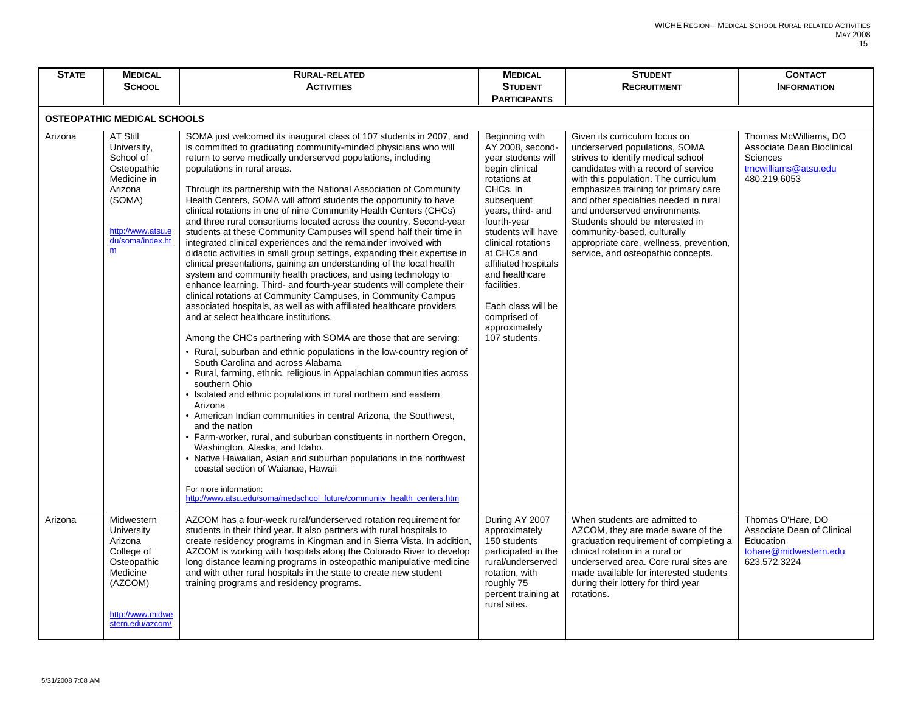| <b>STATE</b>                       | <b>MEDICAL</b>                                                                                                                        | RURAL-RELATED                                                                                                                                                                                                                                                                                                                                                                                                                                                                                                                                                                                                                                                                                                                                                                                                                                                                                                                                                                                                                                                                                                                                                                                                                                                                                                                                                                                                                                                                                                                                                                                                                                                                                                                                                                                                                                                                                                                    | <b>MEDICAL</b>                                                                                                                                                                                                                                                                                                                                       | <b>STUDENT</b>                                                                                                                                                                                                                                                                                                                                                                                                                                            | <b>CONTACT</b>                                                                                          |  |
|------------------------------------|---------------------------------------------------------------------------------------------------------------------------------------|----------------------------------------------------------------------------------------------------------------------------------------------------------------------------------------------------------------------------------------------------------------------------------------------------------------------------------------------------------------------------------------------------------------------------------------------------------------------------------------------------------------------------------------------------------------------------------------------------------------------------------------------------------------------------------------------------------------------------------------------------------------------------------------------------------------------------------------------------------------------------------------------------------------------------------------------------------------------------------------------------------------------------------------------------------------------------------------------------------------------------------------------------------------------------------------------------------------------------------------------------------------------------------------------------------------------------------------------------------------------------------------------------------------------------------------------------------------------------------------------------------------------------------------------------------------------------------------------------------------------------------------------------------------------------------------------------------------------------------------------------------------------------------------------------------------------------------------------------------------------------------------------------------------------------------|------------------------------------------------------------------------------------------------------------------------------------------------------------------------------------------------------------------------------------------------------------------------------------------------------------------------------------------------------|-----------------------------------------------------------------------------------------------------------------------------------------------------------------------------------------------------------------------------------------------------------------------------------------------------------------------------------------------------------------------------------------------------------------------------------------------------------|---------------------------------------------------------------------------------------------------------|--|
|                                    | <b>SCHOOL</b>                                                                                                                         | <b>ACTIVITIES</b>                                                                                                                                                                                                                                                                                                                                                                                                                                                                                                                                                                                                                                                                                                                                                                                                                                                                                                                                                                                                                                                                                                                                                                                                                                                                                                                                                                                                                                                                                                                                                                                                                                                                                                                                                                                                                                                                                                                | <b>STUDENT</b>                                                                                                                                                                                                                                                                                                                                       | <b>RECRUITMENT</b>                                                                                                                                                                                                                                                                                                                                                                                                                                        | <b>INFORMATION</b>                                                                                      |  |
|                                    |                                                                                                                                       |                                                                                                                                                                                                                                                                                                                                                                                                                                                                                                                                                                                                                                                                                                                                                                                                                                                                                                                                                                                                                                                                                                                                                                                                                                                                                                                                                                                                                                                                                                                                                                                                                                                                                                                                                                                                                                                                                                                                  | <b>PARTICIPANTS</b>                                                                                                                                                                                                                                                                                                                                  |                                                                                                                                                                                                                                                                                                                                                                                                                                                           |                                                                                                         |  |
| <b>OSTEOPATHIC MEDICAL SCHOOLS</b> |                                                                                                                                       |                                                                                                                                                                                                                                                                                                                                                                                                                                                                                                                                                                                                                                                                                                                                                                                                                                                                                                                                                                                                                                                                                                                                                                                                                                                                                                                                                                                                                                                                                                                                                                                                                                                                                                                                                                                                                                                                                                                                  |                                                                                                                                                                                                                                                                                                                                                      |                                                                                                                                                                                                                                                                                                                                                                                                                                                           |                                                                                                         |  |
| Arizona                            | AT Still<br>University,<br>School of<br>Osteopathic<br>Medicine in<br>Arizona<br>(SOMA)<br>http://www.atsu.e<br>du/soma/index.ht<br>m | SOMA just welcomed its inaugural class of 107 students in 2007, and<br>is committed to graduating community-minded physicians who will<br>return to serve medically underserved populations, including<br>populations in rural areas.<br>Through its partnership with the National Association of Community<br>Health Centers, SOMA will afford students the opportunity to have<br>clinical rotations in one of nine Community Health Centers (CHCs)<br>and three rural consortiums located across the country. Second-year<br>students at these Community Campuses will spend half their time in<br>integrated clinical experiences and the remainder involved with<br>didactic activities in small group settings, expanding their expertise in<br>clinical presentations, gaining an understanding of the local health<br>system and community health practices, and using technology to<br>enhance learning. Third- and fourth-year students will complete their<br>clinical rotations at Community Campuses, in Community Campus<br>associated hospitals, as well as with affiliated healthcare providers<br>and at select healthcare institutions.<br>Among the CHCs partnering with SOMA are those that are serving:<br>• Rural, suburban and ethnic populations in the low-country region of<br>South Carolina and across Alabama<br>• Rural, farming, ethnic, religious in Appalachian communities across<br>southern Ohio<br>• Isolated and ethnic populations in rural northern and eastern<br>Arizona<br>• American Indian communities in central Arizona, the Southwest,<br>and the nation<br>• Farm-worker, rural, and suburban constituents in northern Oregon,<br>Washington, Alaska, and Idaho.<br>• Native Hawaiian, Asian and suburban populations in the northwest<br>coastal section of Waianae, Hawaii<br>For more information:<br>http://www.atsu.edu/soma/medschool_future/community_health_centers.htm | Beginning with<br>AY 2008, second-<br>year students will<br>begin clinical<br>rotations at<br>CHCs. In<br>subsequent<br>years, third- and<br>fourth-year<br>students will have<br>clinical rotations<br>at CHCs and<br>affiliated hospitals<br>and healthcare<br>facilities.<br>Each class will be<br>comprised of<br>approximately<br>107 students. | Given its curriculum focus on<br>underserved populations, SOMA<br>strives to identify medical school<br>candidates with a record of service<br>with this population. The curriculum<br>emphasizes training for primary care<br>and other specialties needed in rural<br>and underserved environments.<br>Students should be interested in<br>community-based, culturally<br>appropriate care, wellness, prevention,<br>service, and osteopathic concepts. | Thomas McWilliams, DO<br>Associate Dean Bioclinical<br>Sciences<br>tmcwilliams@atsu.edu<br>480.219.6053 |  |
| Arizona                            | Midwestern<br>University<br>Arizona<br>College of<br>Osteopathic<br>Medicine<br>(AZCOM)<br>http://www.midwe<br>stern.edu/azcom/       | AZCOM has a four-week rural/underserved rotation requirement for<br>students in their third year. It also partners with rural hospitals to<br>create residency programs in Kingman and in Sierra Vista. In addition,<br>AZCOM is working with hospitals along the Colorado River to develop<br>long distance learning programs in osteopathic manipulative medicine<br>and with other rural hospitals in the state to create new student<br>training programs and residency programs.                                                                                                                                                                                                                                                                                                                                                                                                                                                                                                                                                                                                                                                                                                                                                                                                                                                                                                                                                                                                                                                                                                                                                                                                                                                                                                                                                                                                                                            | During AY 2007<br>approximately<br>150 students<br>participated in the<br>rural/underserved<br>rotation, with<br>roughly 75<br>percent training at<br>rural sites.                                                                                                                                                                                   | When students are admitted to<br>AZCOM, they are made aware of the<br>graduation requirement of completing a<br>clinical rotation in a rural or<br>underserved area. Core rural sites are<br>made available for interested students<br>during their lottery for third year<br>rotations.                                                                                                                                                                  | Thomas O'Hare, DO<br>Associate Dean of Clinical<br>Education<br>tohare@midwestern.edu<br>623.572.3224   |  |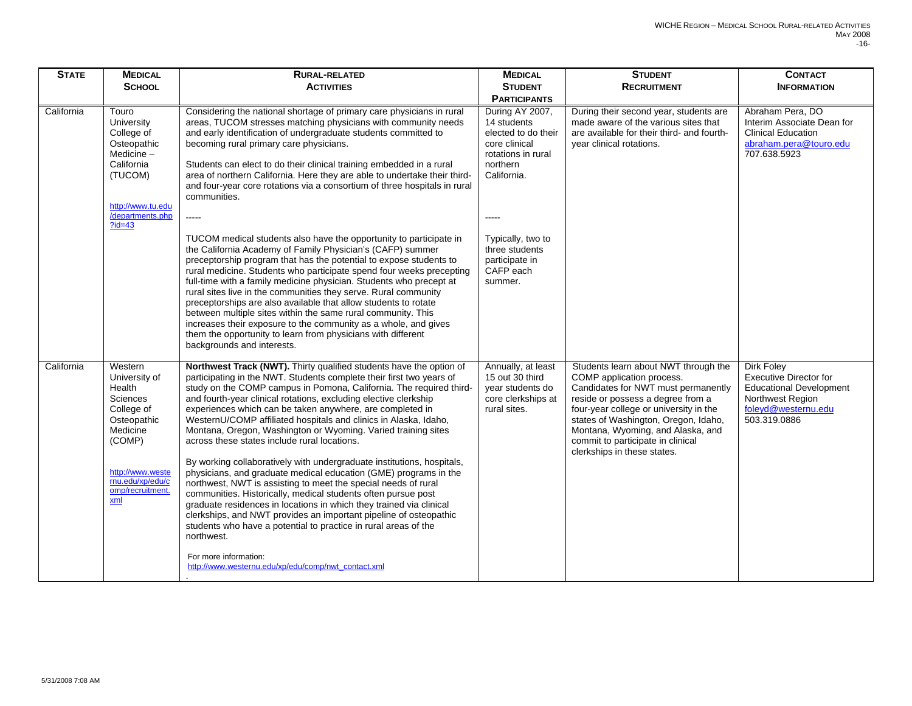| <b>STATE</b> | <b>MEDICAL</b>                                                                                                                                                       | <b>RURAL-RELATED</b>                                                                                                                                                                                                                                                                                                                                                                                                                                                                                                                                                                                                                                                                                                                                                                                                                                                                                                                                                                                                                                                                                                                                                                                                                                   | <b>MEDICAL</b>                                                                                                                                                                                                    | <b>STUDENT</b>                                                                                                                                                                                                                                                                                                                           | <b>CONTACT</b>                                                                                                                                  |
|--------------|----------------------------------------------------------------------------------------------------------------------------------------------------------------------|--------------------------------------------------------------------------------------------------------------------------------------------------------------------------------------------------------------------------------------------------------------------------------------------------------------------------------------------------------------------------------------------------------------------------------------------------------------------------------------------------------------------------------------------------------------------------------------------------------------------------------------------------------------------------------------------------------------------------------------------------------------------------------------------------------------------------------------------------------------------------------------------------------------------------------------------------------------------------------------------------------------------------------------------------------------------------------------------------------------------------------------------------------------------------------------------------------------------------------------------------------|-------------------------------------------------------------------------------------------------------------------------------------------------------------------------------------------------------------------|------------------------------------------------------------------------------------------------------------------------------------------------------------------------------------------------------------------------------------------------------------------------------------------------------------------------------------------|-------------------------------------------------------------------------------------------------------------------------------------------------|
|              | <b>SCHOOL</b>                                                                                                                                                        | <b>ACTIVITIES</b>                                                                                                                                                                                                                                                                                                                                                                                                                                                                                                                                                                                                                                                                                                                                                                                                                                                                                                                                                                                                                                                                                                                                                                                                                                      | <b>STUDENT</b>                                                                                                                                                                                                    | <b>RECRUITMENT</b>                                                                                                                                                                                                                                                                                                                       | <b>INFORMATION</b>                                                                                                                              |
|              |                                                                                                                                                                      |                                                                                                                                                                                                                                                                                                                                                                                                                                                                                                                                                                                                                                                                                                                                                                                                                                                                                                                                                                                                                                                                                                                                                                                                                                                        | <b>PARTICIPANTS</b>                                                                                                                                                                                               |                                                                                                                                                                                                                                                                                                                                          |                                                                                                                                                 |
| California   | Touro<br>University<br>College of<br>Osteopathic<br>Medicine-<br>California<br>(TUCOM)<br>http://www.tu.edu<br>/departments.php<br>$?id = 43$                        | Considering the national shortage of primary care physicians in rural<br>areas, TUCOM stresses matching physicians with community needs<br>and early identification of undergraduate students committed to<br>becoming rural primary care physicians.<br>Students can elect to do their clinical training embedded in a rural<br>area of northern California. Here they are able to undertake their third-<br>and four-year core rotations via a consortium of three hospitals in rural<br>communities.<br>$- - - - -$<br>TUCOM medical students also have the opportunity to participate in<br>the California Academy of Family Physician's (CAFP) summer<br>preceptorship program that has the potential to expose students to<br>rural medicine. Students who participate spend four weeks precepting<br>full-time with a family medicine physician. Students who precept at<br>rural sites live in the communities they serve. Rural community<br>preceptorships are also available that allow students to rotate<br>between multiple sites within the same rural community. This<br>increases their exposure to the community as a whole, and gives<br>them the opportunity to learn from physicians with different<br>backgrounds and interests. | During AY 2007,<br>14 students<br>elected to do their<br>core clinical<br>rotations in rural<br>northern<br>California.<br>$---$<br>Typically, two to<br>three students<br>participate in<br>CAFP each<br>summer. | During their second year, students are<br>made aware of the various sites that<br>are available for their third- and fourth-<br>year clinical rotations.                                                                                                                                                                                 | Abraham Pera, DO<br>Interim Associate Dean for<br><b>Clinical Education</b><br>abraham.pera@touro.edu<br>707.638.5923                           |
| California   | Western<br>University of<br>Health<br>Sciences<br>College of<br>Osteopathic<br>Medicine<br>(COMP)<br>http://www.weste<br>rnu.edu/xp/edu/c<br>omp/recruitment.<br>xml | Northwest Track (NWT). Thirty qualified students have the option of<br>participating in the NWT. Students complete their first two years of<br>study on the COMP campus in Pomona, California. The required third-<br>and fourth-year clinical rotations, excluding elective clerkship<br>experiences which can be taken anywhere, are completed in<br>WesternU/COMP affiliated hospitals and clinics in Alaska, Idaho,<br>Montana, Oregon, Washington or Wyoming. Varied training sites<br>across these states include rural locations.<br>By working collaboratively with undergraduate institutions, hospitals,<br>physicians, and graduate medical education (GME) programs in the<br>northwest, NWT is assisting to meet the special needs of rural<br>communities. Historically, medical students often pursue post<br>graduate residences in locations in which they trained via clinical<br>clerkships, and NWT provides an important pipeline of osteopathic<br>students who have a potential to practice in rural areas of the<br>northwest.<br>For more information:<br>http://www.westernu.edu/xp/edu/comp/nwt_contact.xml                                                                                                                 | Annually, at least<br>15 out 30 third<br>year students do<br>core clerkships at<br>rural sites.                                                                                                                   | Students learn about NWT through the<br>COMP application process.<br>Candidates for NWT must permanently<br>reside or possess a degree from a<br>four-year college or university in the<br>states of Washington, Oregon, Idaho,<br>Montana, Wyoming, and Alaska, and<br>commit to participate in clinical<br>clerkships in these states. | <b>Dirk Foley</b><br><b>Executive Director for</b><br><b>Educational Development</b><br>Northwest Region<br>foleyd@westernu.edu<br>503.319.0886 |